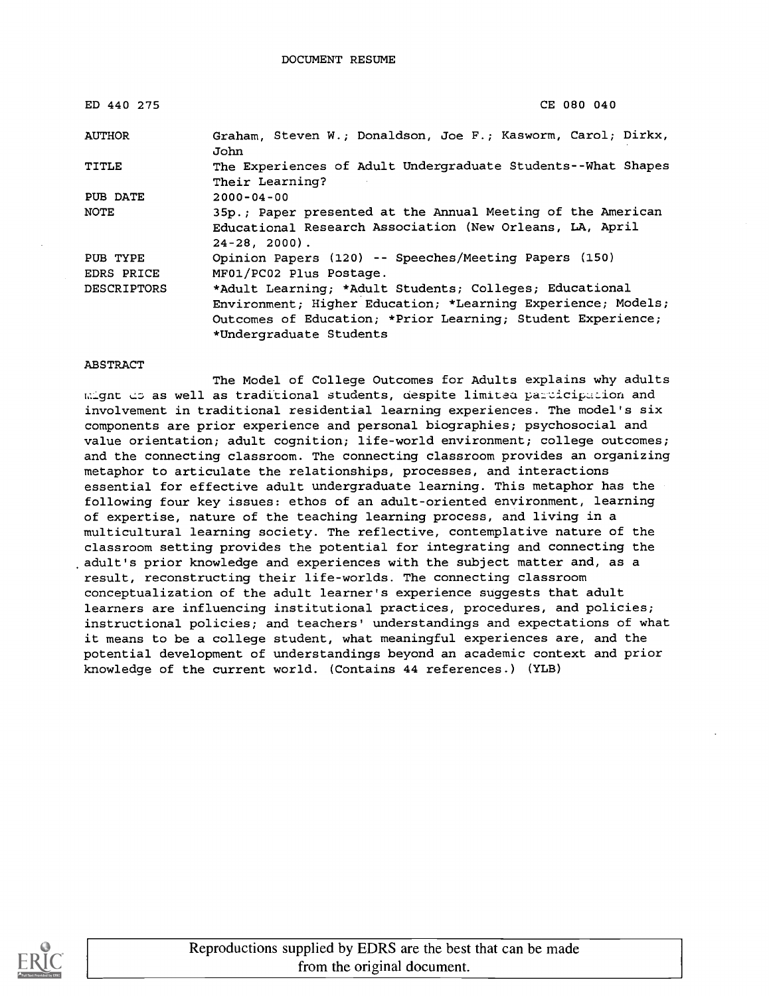| ED 440 275         | CE 080 040                                                                                                                                                                                                        |
|--------------------|-------------------------------------------------------------------------------------------------------------------------------------------------------------------------------------------------------------------|
| <b>AUTHOR</b>      | Graham, Steven W.; Donaldson, Joe F.; Kasworm, Carol; Dirkx,<br>John                                                                                                                                              |
| TITLE              | The Experiences of Adult Undergraduate Students--What Shapes<br>Their Learning?                                                                                                                                   |
| PUB DATE           | $2000 - 04 - 00$                                                                                                                                                                                                  |
| NOTE               | 35p.; Paper presented at the Annual Meeting of the American<br>Educational Research Association (New Orleans, LA, April<br>$24 - 28$ , 2000).                                                                     |
| PUB TYPE           | Opinion Papers (120) -- Speeches/Meeting Papers (150)                                                                                                                                                             |
| <b>EDRS PRICE</b>  | MF01/PC02 Plus Postage.                                                                                                                                                                                           |
| <b>DESCRIPTORS</b> | *Adult Learning; *Adult Students; Colleges; Educational<br>Environment; Higher Education; *Learning Experience; Models;<br>Outcomes of Education; *Prior Learning; Student Experience;<br>*Undergraduate Students |

#### ABSTRACT

The Model of College Outcomes for Adults explains why adults mignt do as well as traditional students, despite limited participation and involvement in traditional residential learning experiences. The model's six components are prior experience and personal biographies; psychosocial and value orientation; adult cognition; life-world environment; college outcomes; and the connecting classroom. The connecting classroom provides an organizing metaphor to articulate the relationships, processes, and interactions essential for effective adult undergraduate learning. This metaphor has the following four key issues: ethos of an adult-oriented environment, learning of expertise, nature of the teaching learning process, and living in a multicultural learning society. The reflective, contemplative nature of the classroom setting provides the potential for integrating and connecting the .adult's prior knowledge and experiences with the subject matter and, as a result, reconstructing their life-worlds. The connecting classroom conceptualization of the adult learner's experience suggests that adult learners are influencing institutional practices, procedures, and policies; instructional policies; and teachers' understandings and expectations of what it means to be a college student, what meaningful experiences are, and the potential development of understandings beyond an academic context and prior knowledge of the current world. (Contains 44 references.) (YLB)

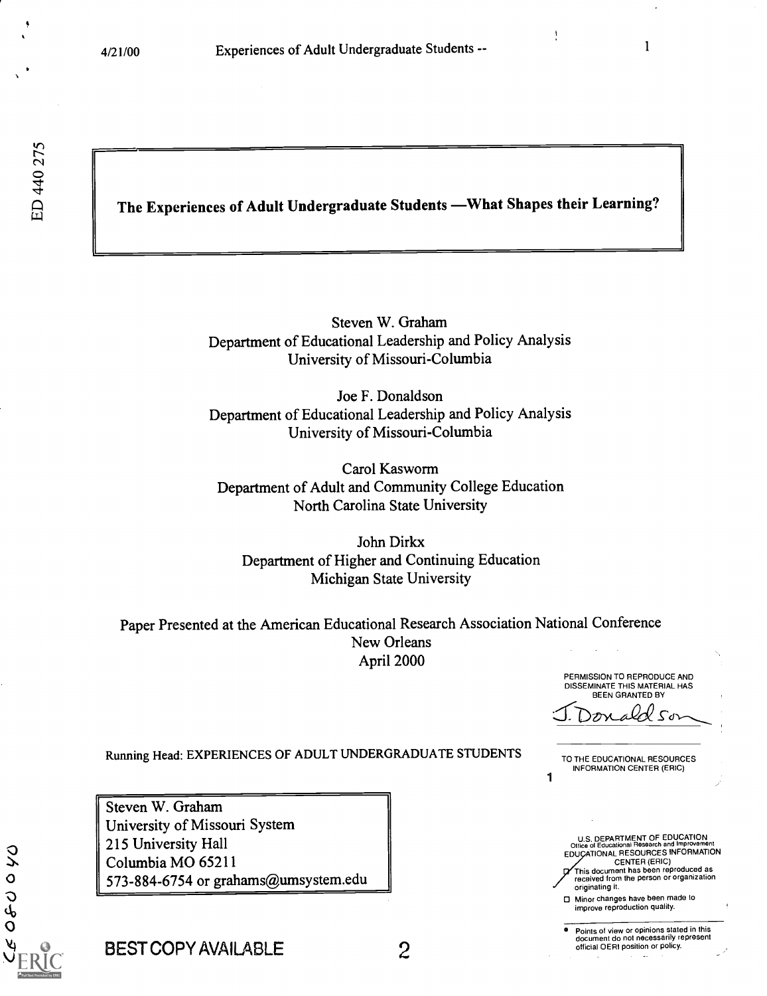$\sim$  $\sim$   $\sim$   $\sim$  $\overline{Q}$  |  $\Delta$ 

# The Experiences of Adult Undergraduate Students - What Shapes their Learning?

Steven W. Graham Department of Educational Leadership and Policy Analysis University of Missouri-Columbia

Joe F. Donaldson Department of Educational Leadership and Policy Analysis University of Missouri-Columbia

Carol Kasworm Department of Adult and Community College Education North Carolina State University

John Dirkx Department of Higher and Continuing Education Michigan State University

Paper Presented at the American Educational Research Association National Conference New Orleans April 2000

> PERMISSION TO REPRODUCE AND DISSEMINATE THIS MATERIAL HAS BEEN GRANTED BY

 $\mathcal{L}^{\sigma}$ 

Running Head: EXPERIENCES OF ADULT UNDERGRADUATE STUDENTS

Steven W. Graham University of Missouri System 215 University Hall Columbia MO 65211 573-884-6754 or grahams@umsystem.edu TO THE EDUCATIONAL RESOURCES INFORMATION CENTER (ERIC)

1

U.S. DEPARTMENT OF EDUCATION Office of Educational Research and Improvement EDU ATIONAL RESOURCES INFORMATION CENTER (ERIC) This document has been reproduced as received from the person or organization originating it.

Minor changes have been made to improve reproduction quality.

Points of view or opinions stated in this document do not necessarily represent official OERI position or policy.

BEST COPY AVAILABLE 2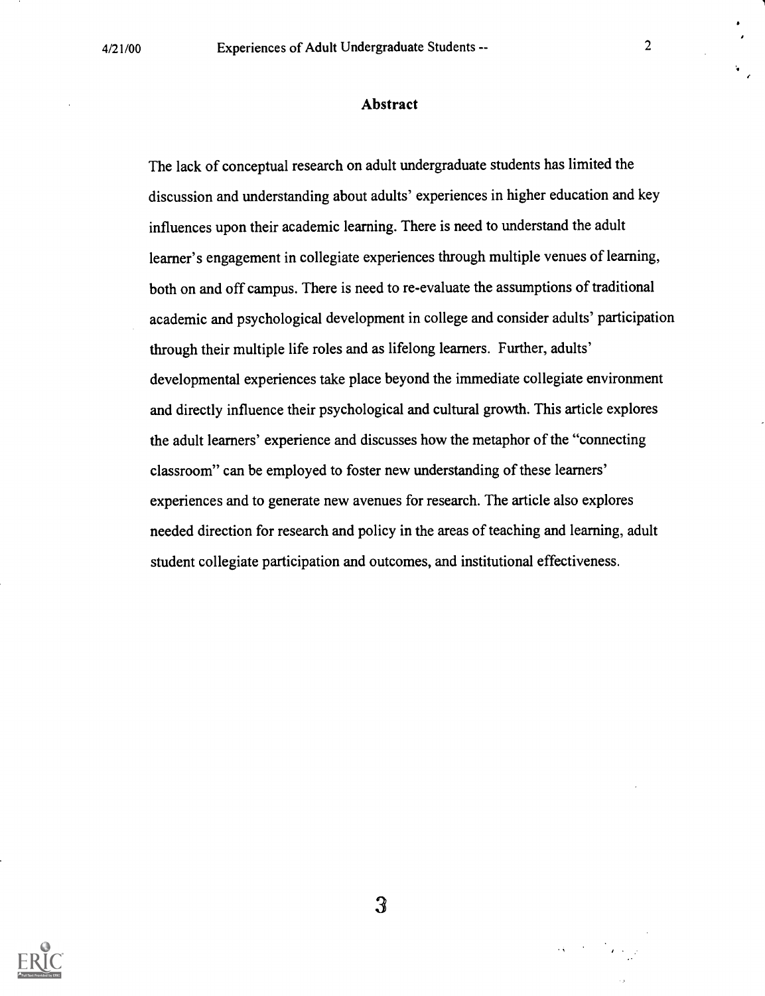#### Abstract

The lack of conceptual research on adult undergraduate students has limited the discussion and understanding about adults' experiences in higher education and key influences upon their academic learning. There is need to understand the adult learner's engagement in collegiate experiences through multiple venues of learning, both on and off campus. There is need to re-evaluate the assumptions of traditional academic and psychological development in college and consider adults' participation through their multiple life roles and as lifelong learners. Further, adults' developmental experiences take place beyond the immediate collegiate environment and directly influence their psychological and cultural growth. This article explores the adult learners' experience and discusses how the metaphor of the "connecting classroom" can be employed to foster new understanding of these learners' experiences and to generate new avenues for research. The article also explores needed direction for research and policy in the areas of teaching and learning, adult student collegiate participation and outcomes, and institutional effectiveness.



3

 $\mathcal{L}_{\mathbf{A}}$  and  $\mathcal{L}_{\mathbf{A}}$  and  $\mathcal{L}_{\mathbf{A}}$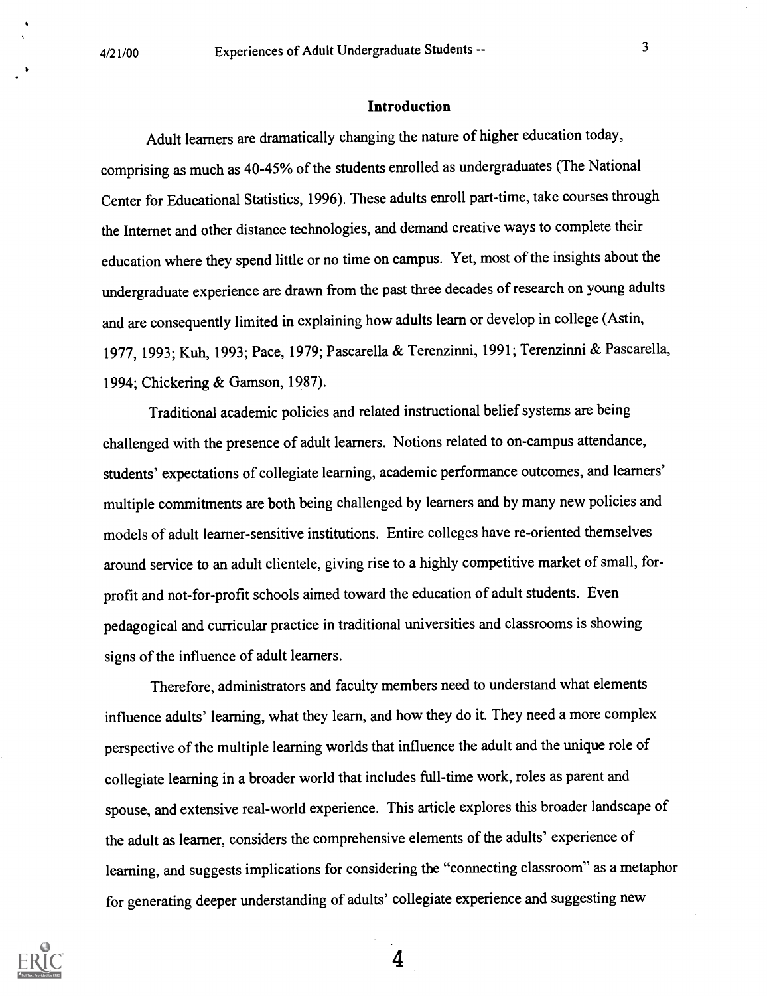#### Introduction

Adult learners are dramatically changing the nature of higher education today, comprising as much as 40-45% of the students enrolled as undergraduates (The National Center for Educational Statistics, 1996). These adults enroll part-time, take courses through the Internet and other distance technologies, and demand creative ways to complete their education where they spend little or no time on campus. Yet, most of the insights about the undergraduate experience are drawn from the past three decades of research on young adults and are consequently limited in explaining how adults learn or develop in college (Astin, 1977, 1993; Kuh, 1993; Pace, 1979; Pascarella & Terenzinni, 1991; Terenzinni & Pascarella, 1994; Chickering & Gamson, 1987).

Traditional academic policies and related instructional belief systems are being challenged with the presence of adult learners. Notions related to on-campus attendance, students' expectations of collegiate learning, academic performance outcomes, and learners' multiple commitments are both being challenged by learners and by many new policies and models of adult learner-sensitive institutions. Entire colleges have re-oriented themselves around service to an adult clientele, giving rise to a highly competitive market of small, forprofit and not-for-profit schools aimed toward the education of adult students. Even pedagogical and curricular practice in traditional universities and classrooms is showing signs of the influence of adult learners.

Therefore, administrators and faculty members need to understand what elements influence adults' learning, what they learn, and how they do it. They need a more complex perspective of the multiple learning worlds that influence the adult and the unique role of collegiate learning in a broader world that includes full-time work, roles as parent and spouse, and extensive real-world experience. This article explores this broader landscape of the adult as learner, considers the comprehensive elements of the adults' experience of learning, and suggests implications for considering the "connecting classroom" as a metaphor for generating deeper understanding of adults' collegiate experience and suggesting new

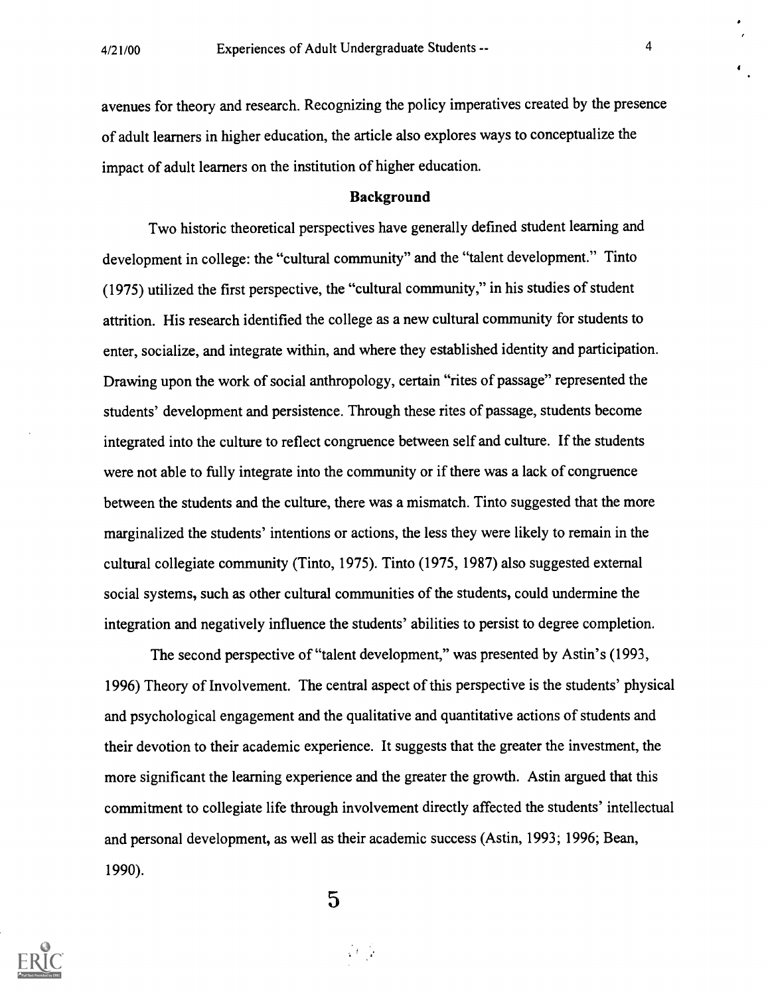avenues for theory and research. Recognizing the policy imperatives created by the presence of adult learners in higher education, the article also explores ways to conceptualize the impact of adult learners on the institution of higher education.

#### Background

Two historic theoretical perspectives have generally defined student learning and development in college: the "cultural community" and the "talent development." Tinto (1975) utilized the first perspective, the "cultural community," in his studies of student attrition. His research identified the college as a new cultural community for students to enter, socialize, and integrate within, and where they established identity and participation. Drawing upon the work of social anthropology, certain "rites of passage" represented the students' development and persistence. Through these rites of passage, students become integrated into the culture to reflect congruence between self and culture. If the students were not able to fully integrate into the community or if there was a lack of congruence between the students and the culture, there was a mismatch. Tinto suggested that the more marginalized the students' intentions or actions, the less they were likely to remain in the cultural collegiate community (Tinto, 1975). Tinto (1975, 1987) also suggested external social systems, such as other cultural communities of the students, could undermine the integration and negatively influence the students' abilities to persist to degree completion.

The second perspective of "talent development," was presented by Astin's (1993, 1996) Theory of Involvement. The central aspect of this perspective is the students' physical and psychological engagement and the qualitative and quantitative actions of students and their devotion to their academic experience. It suggests that the greater the investment, the more significant the learning experience and the greater the growth. Astin argued that this commitment to collegiate life through involvement directly affected the students' intellectual and personal development, as well as their academic success (Astin, 1993; 1996; Bean, 1990).



 $\overline{5}$ 

 $\sqrt{3}$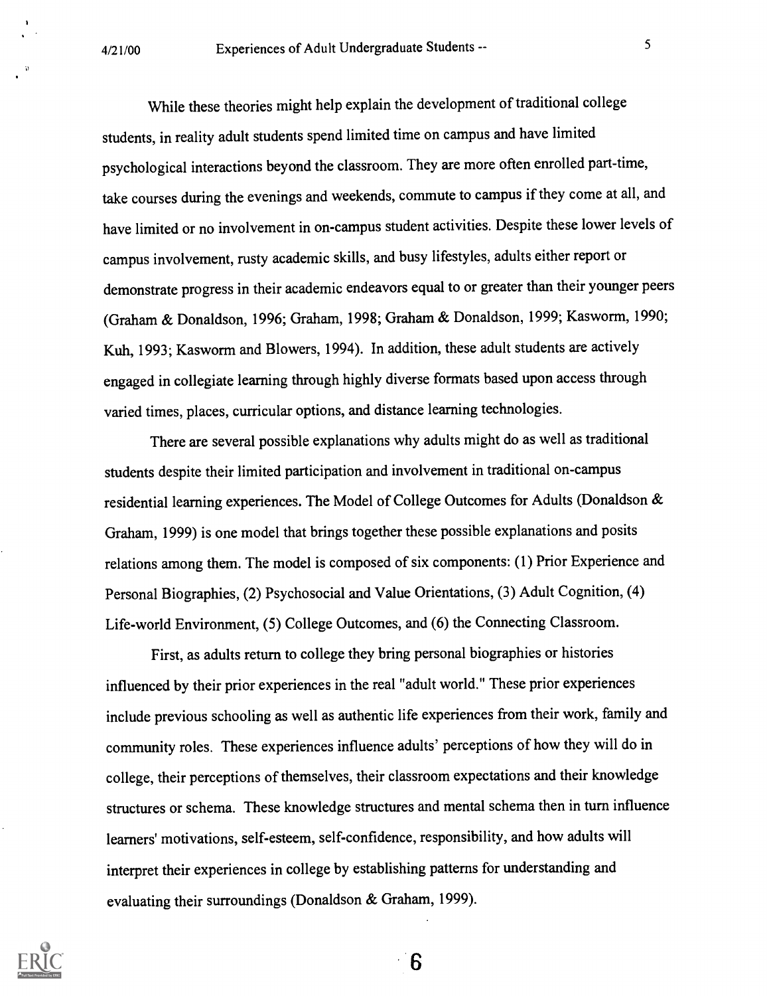While these theories might help explain the development of traditional college students, in reality adult students spend limited time on campus and have limited psychological interactions beyond the classroom. They are more often enrolled part-time, take courses during the evenings and weekends, commute to campus if they come at all, and have limited or no involvement in on-campus student activities. Despite these lower levels of campus involvement, rusty academic skills, and busy lifestyles, adults either report or demonstrate progress in their academic endeavors equal to or greater than their younger peers (Graham & Donaldson, 1996; Graham, 1998; Graham & Donaldson, 1999; Kasworm, 1990; Kuh, 1993; Kasworm and Blowers, 1994). In addition, these adult students are actively engaged in collegiate learning through highly diverse formats based upon access through varied times, places, curricular options, and distance learning technologies.

There are several possible explanations why adults might do as well as traditional students despite their limited participation and involvement in traditional on-campus residential learning experiences. The Model of College Outcomes for Adults (Donaldson & Graham, 1999) is one model that brings together these possible explanations and posits relations among them. The model is composed of six components: (1) Prior Experience and Personal Biographies, (2) Psychosocial and Value Orientations, (3) Adult Cognition, (4) Life-world Environment, (5) College Outcomes, and (6) the Connecting Classroom.

First, as adults return to college they bring personal biographies or histories influenced by their prior experiences in the real "adult world." These prior experiences include previous schooling as well as authentic life experiences from their work, family and community roles. These experiences influence adults' perceptions of how they will do in college, their perceptions of themselves, their classroom expectations and their knowledge structures or schema. These knowledge structures and mental schema then in turn influence learners' motivations, self-esteem, self-confidence, responsibility, and how adults will interpret their experiences in college by establishing patterns for understanding and evaluating their surroundings (Donaldson & Graham, 1999).

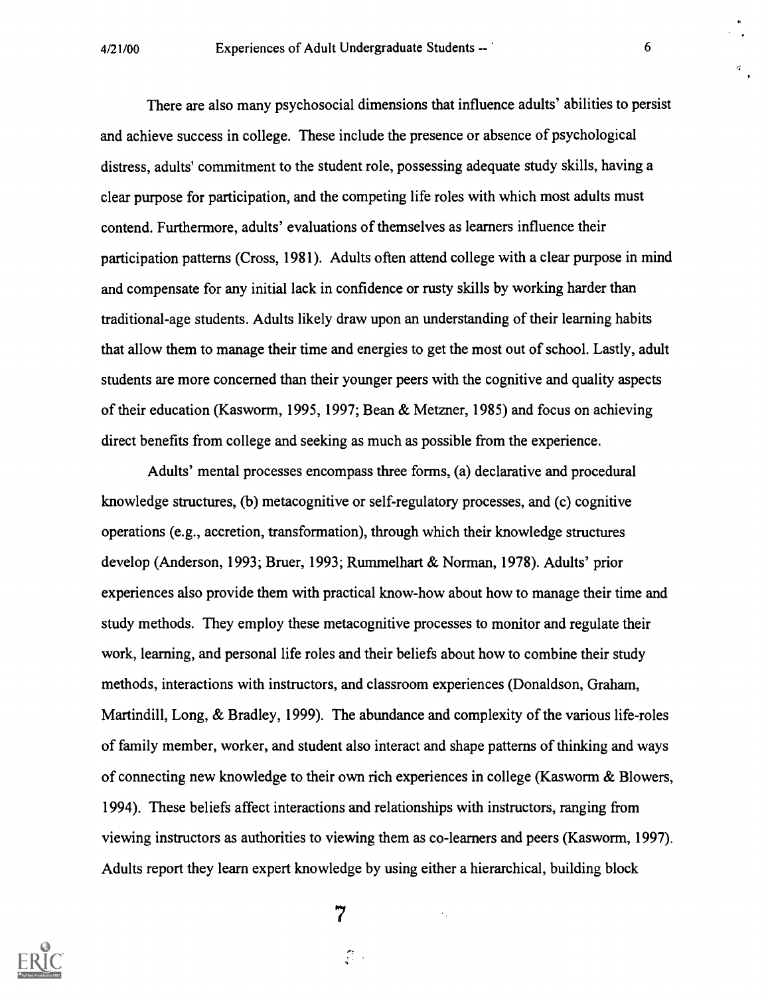There are also many psychosocial dimensions that influence adults' abilities to persist and achieve success in college. These include the presence or absence of psychological distress, adults' commitment to the student role, possessing adequate study skills, having a clear purpose for participation, and the competing life roles with which most adults must contend. Furthermore, adults' evaluations of themselves as learners influence their participation patterns (Cross, 1981). Adults often attend college with a clear purpose in mind and compensate for any initial lack in confidence or rusty skills by working harder than traditional-age students. Adults likely draw upon an understanding of their learning habits that allow them to manage their time and energies to get the most out of school. Lastly, adult students are more concerned than their younger peers with the cognitive and quality aspects of their education (Kasworm, 1995, 1997; Bean & Metzner, 1985) and focus on achieving direct benefits from college and seeking as much as possible from the experience.

Adults' mental processes encompass three forms, (a) declarative and procedural knowledge structures, (b) metacognitive or self-regulatory processes, and (c) cognitive operations (e.g., accretion, transformation), through which their knowledge structures develop (Anderson, 1993; Bruer, 1993; Rummelhart & Norman, 1978). Adults' prior experiences also provide them with practical know-how about how to manage their time and study methods. They employ these metacognitive processes to monitor and regulate their work, learning, and personal life roles and their beliefs about how to combine their study methods, interactions with instructors, and classroom experiences (Donaldson, Graham, Martindill, Long, & Bradley, 1999). The abundance and complexity of the various life-roles of family member, worker, and student also interact and shape patterns of thinking and ways of connecting new knowledge to their own rich experiences in college (Kasworm & Blowers, 1994). These beliefs affect interactions and relationships with instructors, ranging from viewing instructors as authorities to viewing them as co-learners and peers (Kasworm, 1997). Adults report they learn expert knowledge by using either a hierarchical, building block



7

 $\mathcal{D}$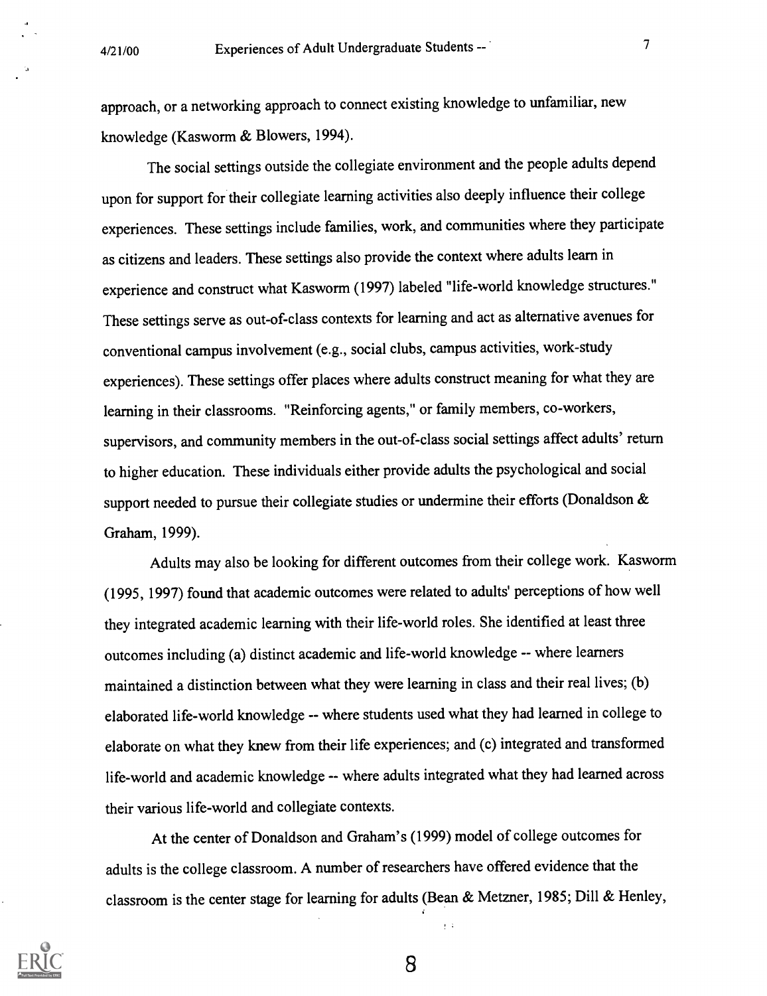approach, or a networking approach to connect existing knowledge to unfamiliar, new knowledge (Kasworm & Blowers, 1994).

The social settings outside the collegiate environment and the people adults depend upon for support for their collegiate learning activities also deeply influence their college experiences. These settings include families, work, and communities where they participate as citizens and leaders. These settings also provide the context where adults learn in experience and construct what Kasworm (1997) labeled "life-world knowledge structures." These settings serve as out-of-class contexts for learning and act as alternative avenues for conventional campus involvement (e.g., social clubs, campus activities, work-study experiences). These settings offer places where adults construct meaning for what they are learning in their classrooms. "Reinforcing agents," or family members, co-workers, supervisors, and community members in the out-of-class social settings affect adults' return to higher education. These individuals either provide adults the psychological and social support needed to pursue their collegiate studies or undermine their efforts (Donaldson & Graham, 1999).

Adults may also be looking for different outcomes from their college work. Kasworm (1995, 1997) found that academic outcomes were related to adults' perceptions of how well they integrated academic learning with their life-world roles. She identified at least three outcomes including (a) distinct academic and life-world knowledge -- where learners maintained a distinction between what they were learning in class and their real lives; (b) elaborated life-world knowledge -- where students used what they had learned in college to elaborate on what they knew from their life experiences; and (c) integrated and transformed life-world and academic knowledge -- where adults integrated what they had learned across their various life-world and collegiate contexts.

At the center of Donaldson and Graham's (1999) model of college outcomes for adults is the college classroom. A number of researchers have offered evidence that the classroom is the center stage for learning for adults (Bean & Metzner, 1985; Dill & Henley,



8

 $\frac{1}{2}$  .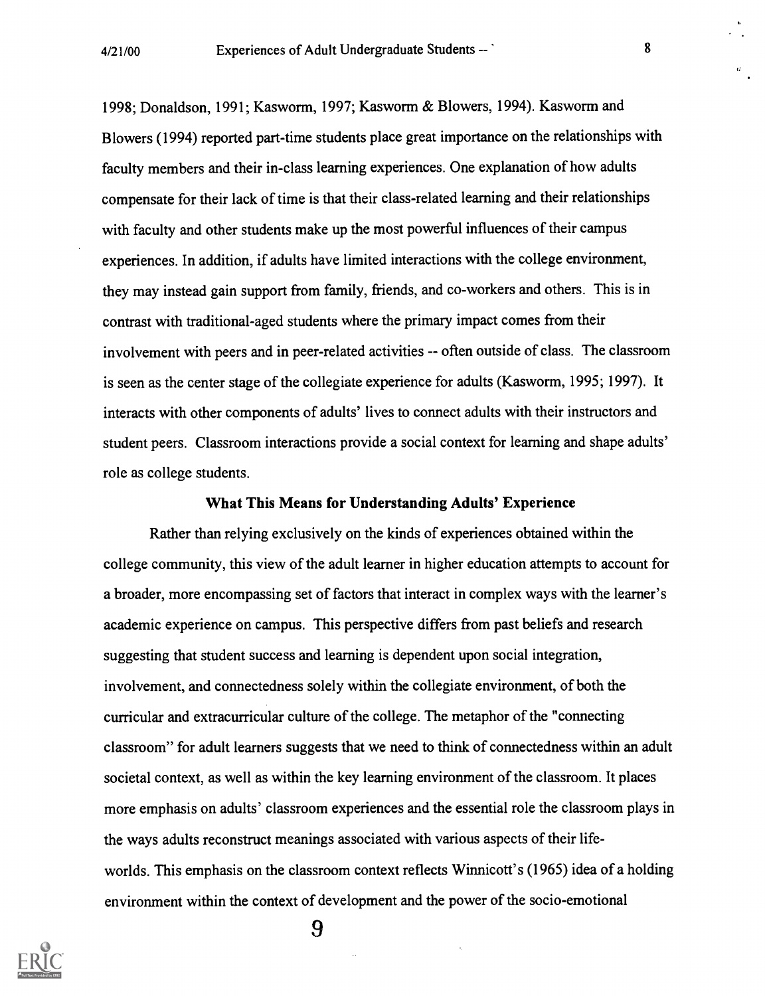1998; Donaldson, 1991; Kasworm, 1997; Kasworm & Blowers, 1994). Kasworm and Blowers (1994) reported part-time students place great importance on the relationships with faculty members and their in-class learning experiences. One explanation of how adults compensate for their lack of time is that their class-related learning and their relationships with faculty and other students make up the most powerful influences of their campus experiences. In addition, if adults have limited interactions with the college environment, they may instead gain support from family, friends, and co-workers and others. This is in contrast with traditional-aged students where the primary impact comes from their involvement with peers and in peer-related activities -- often outside of class. The classroom is seen as the center stage of the collegiate experience for adults (Kasworm, 1995; 1997). It interacts with other components of adults' lives to connect adults with their instructors and student peers. Classroom interactions provide a social context for learning and shape adults' role as college students.

#### What This Means for Understanding Adults' Experience

Rather than relying exclusively on the kinds of experiences obtained within the college community, this view of the adult learner in higher education attempts to account for a broader, more encompassing set of factors that interact in complex ways with the learner's academic experience on campus. This perspective differs from past beliefs and research suggesting that student success and learning is dependent upon social integration, involvement, and connectedness solely within the collegiate environment, of both the curricular and extracurricular culture of the college. The metaphor of the "connecting classroom" for adult learners suggests that we need to think of connectedness within an adult societal context, as well as within the key learning environment of the classroom. It places more emphasis on adults' classroom experiences and the essential role the classroom plays in the ways adults reconstruct meanings associated with various aspects of their lifeworlds. This emphasis on the classroom context reflects Winnicott's (1965) idea of a holding environment within the context of development and the power of the socio-emotional

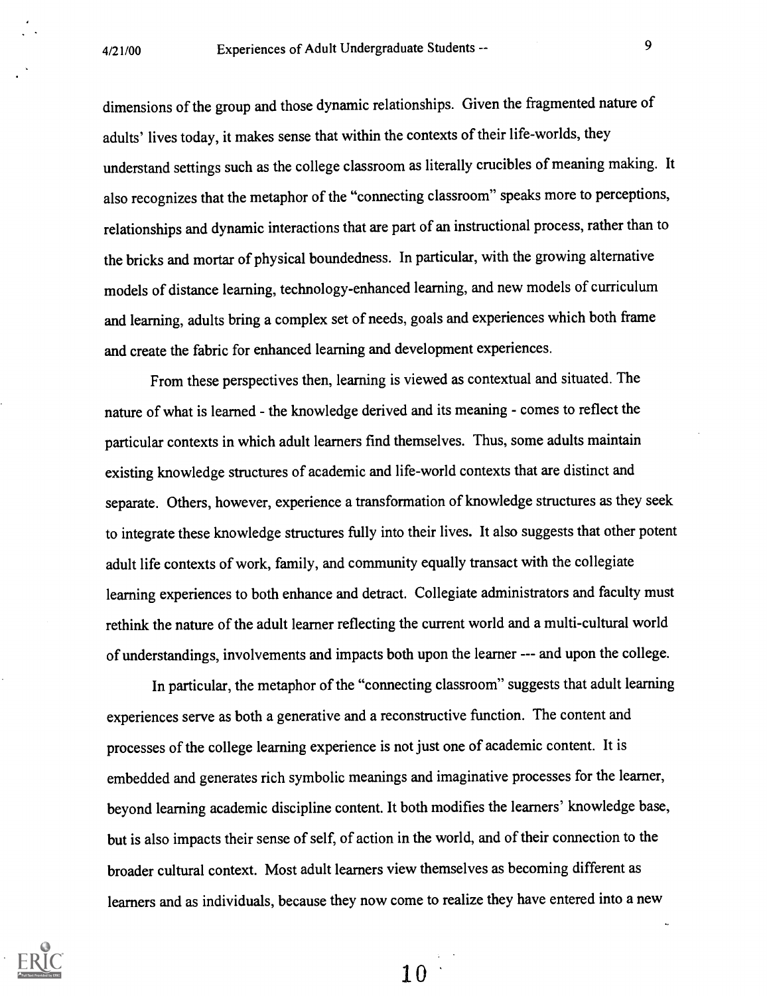dimensions of the group and those dynamic relationships. Given the fragmented nature of adults' lives today, it makes sense that within the contexts of their life-worlds, they understand settings such as the college classroom as literally crucibles of meaning making. It also recognizes that the metaphor of the "connecting classroom" speaks more to perceptions, relationships and dynamic interactions that are part of an instructional process, rather than to the bricks and mortar of physical boundedness. In particular, with the growing alternative models of distance learning, technology-enhanced learning, and new models of curriculum and learning, adults bring a complex set of needs, goals and experiences which both frame and create the fabric for enhanced learning and development experiences.

From these perspectives then, learning is viewed as contextual and situated. The nature of what is learned - the knowledge derived and its meaning - comes to reflect the particular contexts in which adult learners find themselves. Thus, some adults maintain existing knowledge structures of academic and life-world contexts that are distinct and separate. Others, however, experience a transformation of knowledge structures as they seek to integrate these knowledge structures fully into their lives. It also suggests that other potent adult life contexts of work, family, and community equally transact with the collegiate learning experiences to both enhance and detract. Collegiate administrators and faculty must rethink the nature of the adult learner reflecting the current world and a multi-cultural world of understandings, involvements and impacts both upon the learner --- and upon the college.

In particular, the metaphor of the "connecting classroom" suggests that adult learning experiences serve as both a generative and a reconstructive function. The content and processes of the college learning experience is not just one of academic content. It is embedded and generates rich symbolic meanings and imaginative processes for the learner, beyond learning academic discipline content. It both modifies the learners' knowledge base, but is also impacts their sense of self, of action in the world, and of their connection to the broader cultural context. Most adult learners view themselves as becoming different as learners and as individuals, because they now come to realize they have entered into a new

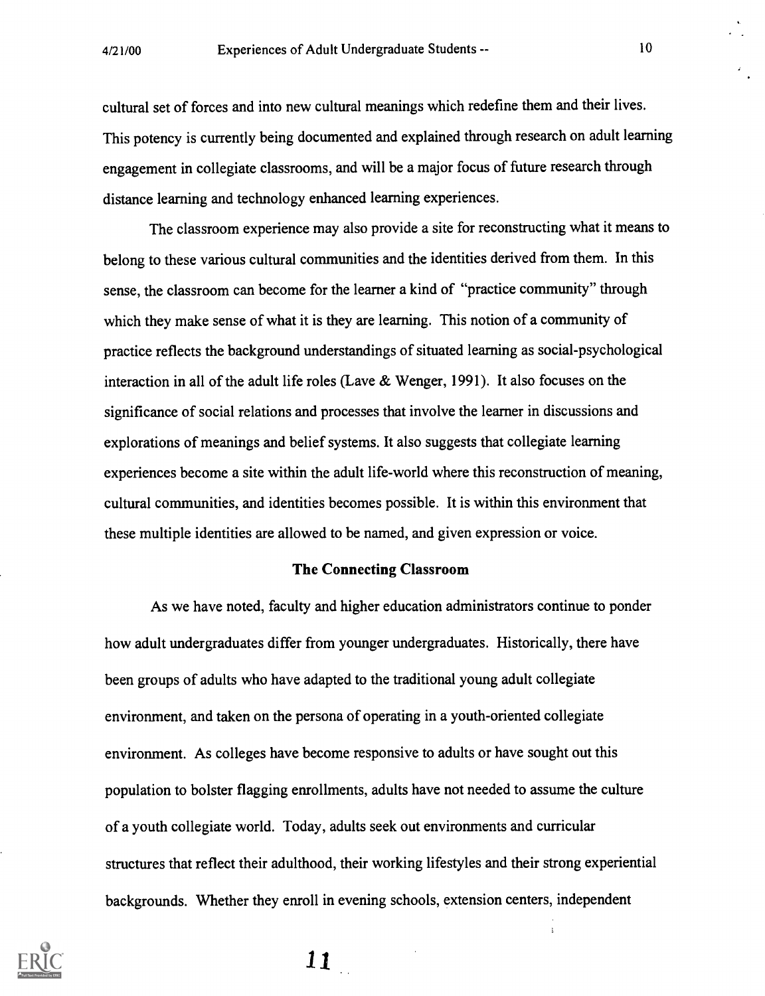cultural set of forces and into new cultural meanings which redefine them and their lives. This potency is currently being documented and explained through research on adult learning engagement in collegiate classrooms, and will be a major focus of future research through distance learning and technology enhanced learning experiences.

The classroom experience may also provide a site for reconstructing what it means to belong to these various cultural communities and the identities derived from them. In this sense, the classroom can become for the learner a kind of "practice community" through which they make sense of what it is they are learning. This notion of a community of practice reflects the background understandings of situated learning as social-psychological interaction in all of the adult life roles (Lave & Wenger, 1991). It also focuses on the significance of social relations and processes that involve the learner in discussions and explorations of meanings and belief systems. It also suggests that collegiate learning experiences become a site within the adult life-world where this reconstruction of meaning, cultural communities, and identities becomes possible. It is within this environment that these multiple identities are allowed to be named, and given expression or voice.

#### The Connecting Classroom

As we have noted, faculty and higher education administrators continue to ponder how adult undergraduates differ from younger undergraduates. Historically, there have been groups of adults who have adapted to the traditional young adult collegiate environment, and taken on the persona of operating in a youth-oriented collegiate environment. As colleges have become responsive to adults or have sought out this population to bolster flagging enrollments, adults have not needed to assume the culture of a youth collegiate world. Today, adults seek out environments and curricular structures that reflect their adulthood, their working lifestyles and their strong experiential backgrounds. Whether they enroll in evening schools, extension centers, independent

 $\ddot{\ddot{\text{}}}$ 

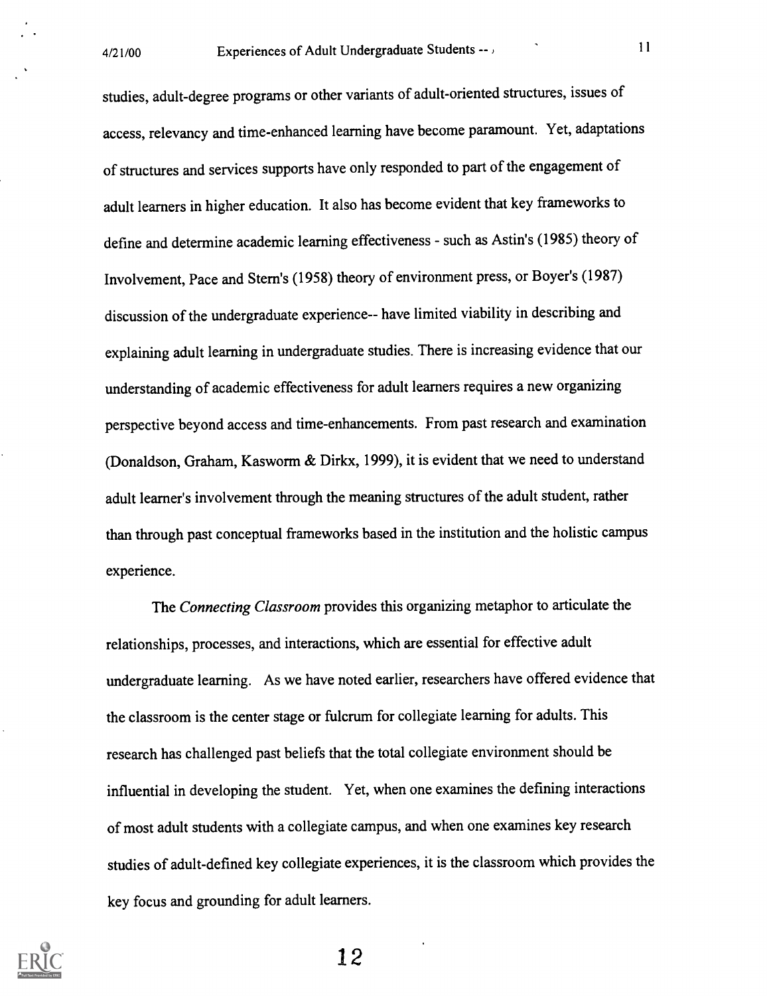studies, adult-degree programs or other variants of adult-oriented structures, issues of access, relevancy and time-enhanced learning have become paramount. Yet, adaptations of structures and services supports have only responded to part of the engagement of adult learners in higher education. It also has become evident that key frameworks to define and determine academic learning effectiveness - such as Astin's (1985) theory of Involvement, Pace and Stern's (1958) theory of environment press, or Boyer's (1987) discussion of the undergraduate experience-- have limited viability in describing and explaining adult learning in undergraduate studies. There is increasing evidence that our understanding of academic effectiveness for adult learners requires a new organizing perspective beyond access and time-enhancements. From past research and examination (Donaldson, Graham, Kasworm & Dirkx, 1999), it is evident that we need to understand adult learner's involvement through the meaning structures of the adult student, rather than through past conceptual frameworks based in the institution and the holistic campus experience.

The Connecting Classroom provides this organizing metaphor to articulate the relationships, processes, and interactions, which are essential for effective adult undergraduate learning. As we have noted earlier, researchers have offered evidence that the classroom is the center stage or fulcrum for collegiate learning for adults. This research has challenged past beliefs that the total collegiate environment should be influential in developing the student. Yet, when one examines the defining interactions of most adult students with a collegiate campus, and when one examines key research studies of adult-defined key collegiate experiences, it is the classroom which provides the key focus and grounding for adult learners.

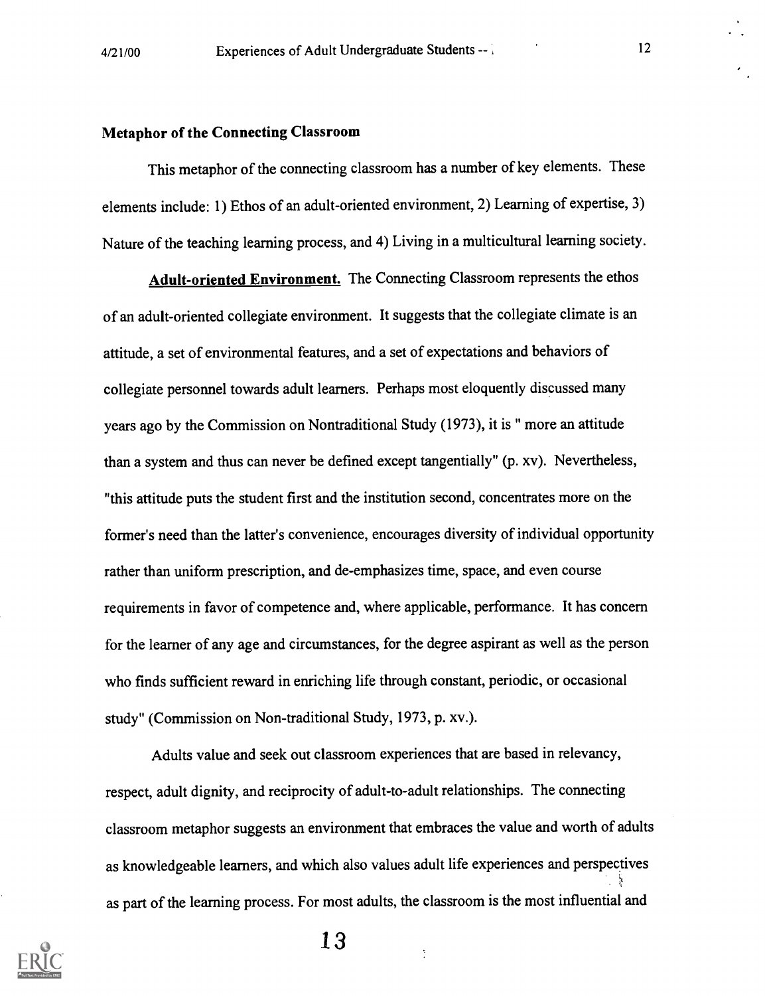### Metaphor of the Connecting Classroom

This metaphor of the connecting classroom has a number of key elements. These elements include: 1) Ethos of an adult-oriented environment, 2) Learning of expertise, 3) Nature of the teaching learning process, and 4) Living in a multicultural learning society.

Adult-oriented Environment. The Connecting Classroom represents the ethos of an adult-oriented collegiate environment. It suggests that the collegiate climate is an attitude, a set of environmental features, and a set of expectations and behaviors of collegiate personnel towards adult learners. Perhaps most eloquently discussed many years ago by the Commission on Nontraditional Study (1973), it is " more an attitude than a system and thus can never be defined except tangentially" (p. xv). Nevertheless, "this attitude puts the student first and the institution second, concentrates more on the former's need than the latter's convenience, encourages diversity of individual opportunity rather than uniform prescription, and de-emphasizes time, space, and even course requirements in favor of competence and, where applicable, performance. It has concern for the learner of any age and circumstances, for the degree aspirant as well as the person who finds sufficient reward in enriching life through constant, periodic, or occasional study" (Commission on Non-traditional Study, 1973, p. xv.).

Adults value and seek out classroom experiences that are based in relevancy, respect, adult dignity, and reciprocity of adult-to-adult relationships. The connecting classroom metaphor suggests an environment that embraces the value and worth of adults as knowledgeable learners, and which also values adult life experiences and perspectives as part of the learning process. For most adults, the classroom is the most influential and

 $\frac{1}{4}$ 

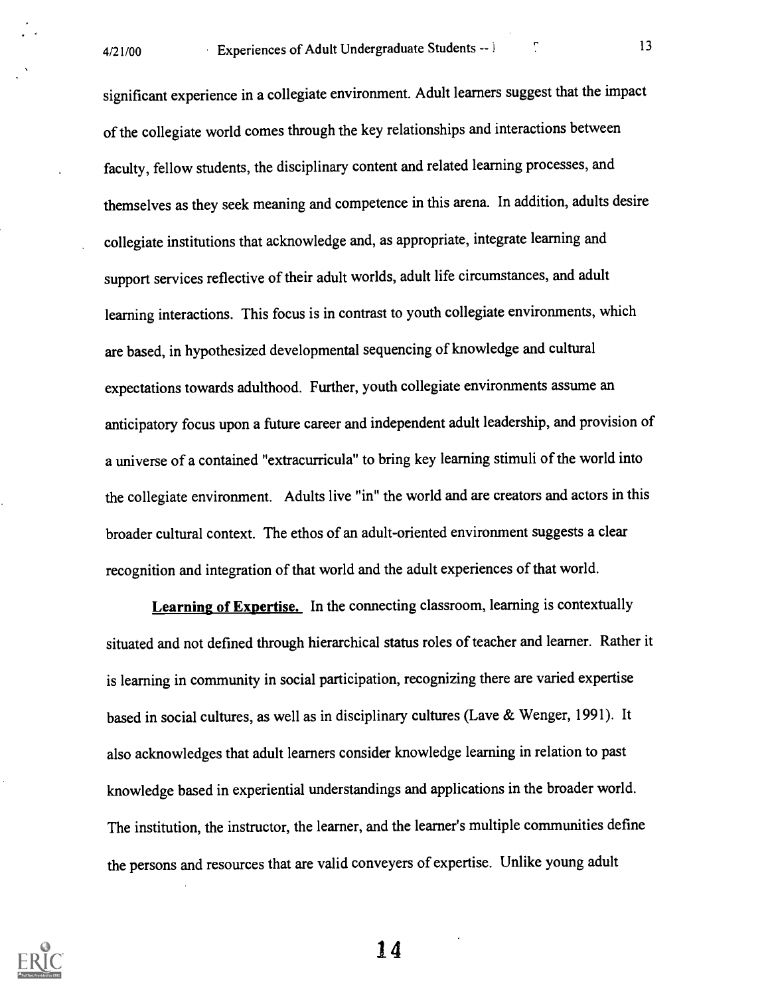significant experience in a collegiate environment. Adult learners suggest that the impact of the collegiate world comes through the key relationships and interactions between faculty, fellow students, the disciplinary content and related learning processes, and themselves as they seek meaning and competence in this arena. In addition, adults desire collegiate institutions that acknowledge and, as appropriate, integrate learning and support services reflective of their adult worlds, adult life circumstances, and adult learning interactions. This focus is in contrast to youth collegiate environments, which are based, in hypothesized developmental sequencing of knowledge and cultural expectations towards adulthood. Further, youth collegiate environments assume an anticipatory focus upon a future career and independent adult leadership, and provision of a universe of a contained "extracurricula" to bring key learning stimuli of the world into the collegiate environment. Adults live "in" the world and are creators and actors in this broader cultural context. The ethos of an adult-oriented environment suggests a clear recognition and integration of that world and the adult experiences of that world.

Learning of Expertise. In the connecting classroom, learning is contextually situated and not defined through hierarchical status roles of teacher and learner. Rather it is learning in community in social participation, recognizing there are varied expertise based in social cultures, as well as in disciplinary cultures (Lave & Wenger, 1991). It also acknowledges that adult learners consider knowledge learning in relation to past knowledge based in experiential understandings and applications in the broader world. The institution, the instructor, the learner, and the learner's multiple communities define the persons and resources that are valid conveyers of expertise. Unlike young adult

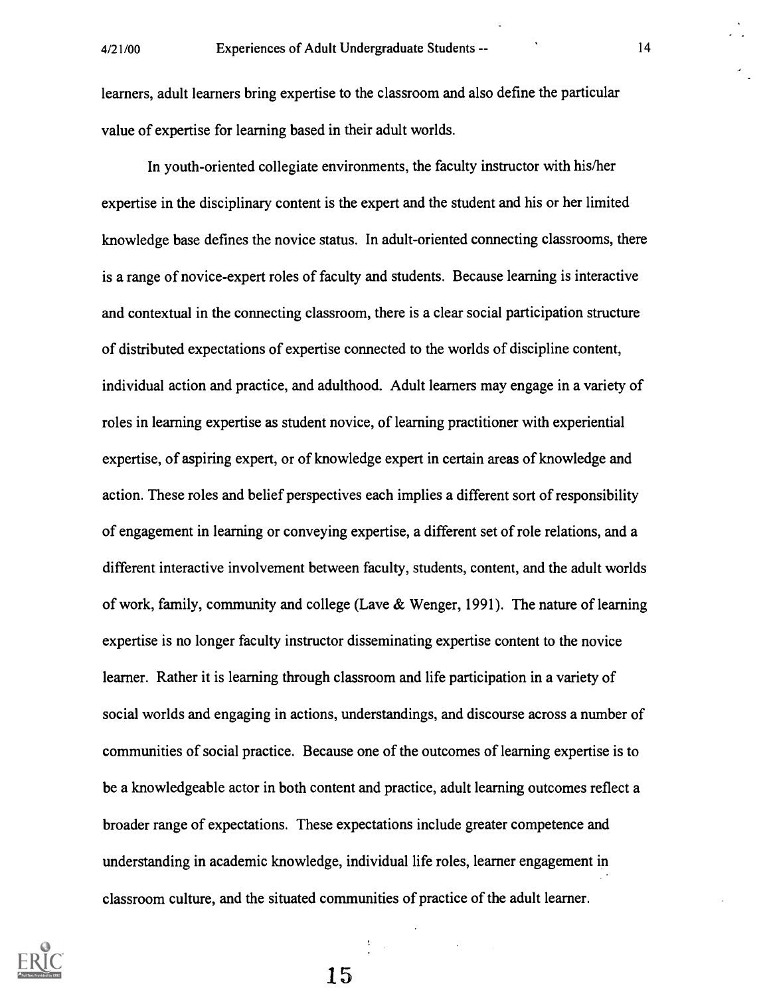learners, adult learners bring expertise to the classroom and also define the particular value of expertise for learning based in their adult worlds.

In youth-oriented collegiate environments, the faculty instructor with his/her expertise in the disciplinary content is the expert and the student and his or her limited knowledge base defines the novice status. In adult-oriented connecting classrooms, there is a range of novice-expert roles of faculty and students. Because learning is interactive and contextual in the connecting classroom, there is a clear social participation structure of distributed expectations of expertise connected to the worlds of discipline content, individual action and practice, and adulthood. Adult learners may engage in a variety of roles in learning expertise as student novice, of learning practitioner with experiential expertise, of aspiring expert, or of knowledge expert in certain areas of knowledge and action. These roles and belief perspectives each implies a different sort of responsibility of engagement in learning or conveying expertise, a different set of role relations, and a different interactive involvement between faculty, students, content, and the adult worlds of work, family, community and college (Lave  $\&$  Wenger, 1991). The nature of learning expertise is no longer faculty instructor disseminating expertise content to the novice learner. Rather it is learning through classroom and life participation in a variety of social worlds and engaging in actions, understandings, and discourse across a number of communities of social practice. Because one of the outcomes of learning expertise is to be a knowledgeable actor in both content and practice, adult learning outcomes reflect a broader range of expectations. These expectations include greater competence and understanding in academic knowledge, individual life roles, learner engagement in classroom culture, and the situated communities of practice of the adult learner.

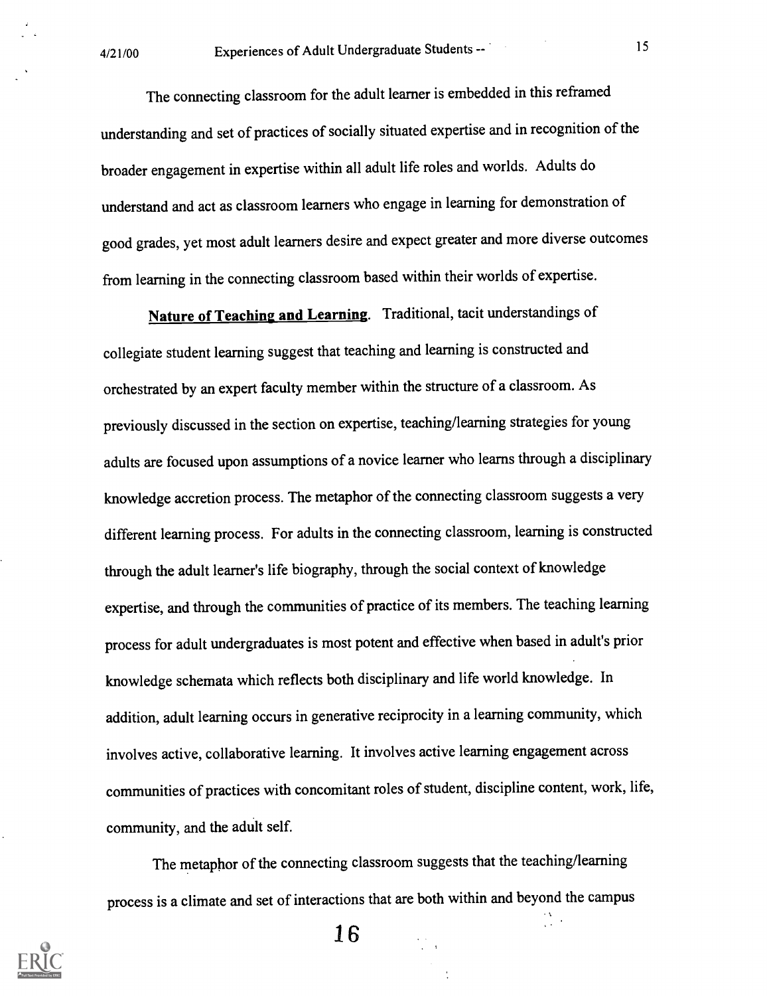The connecting classroom for the adult learner is embedded in this reframed understanding and set of practices of socially situated expertise and in recognition of the broader engagement in expertise within all adult life roles and worlds. Adults do understand and act as classroom learners who engage in learning for demonstration of good grades, yet most adult learners desire and expect greater and more diverse outcomes from learning in the connecting classroom based within their worlds of expertise.

Nature of Teaching and Learning. Traditional, tacit understandings of collegiate student learning suggest that teaching and learning is constructed and orchestrated by an expert faculty member within the structure of a classroom. As previously discussed in the section on expertise, teaching/learning strategies for young adults are focused upon assumptions of a novice learner who learns through a disciplinary knowledge accretion process. The metaphor of the connecting classroom suggests a very different learning process. For adults in the connecting classroom, learning is constructed through the adult learner's life biography, through the social context of knowledge expertise, and through the communities of practice of its members. The teaching learning process for adult undergraduates is most potent and effective when based in adult's prior knowledge schemata which reflects both disciplinary and life world knowledge. In addition, adult learning occurs in generative reciprocity in a learning community, which involves active, collaborative learning. It involves active learning engagement across communities of practices with concomitant roles of student, discipline content, work, life, community, and the adult self.

The metaphor of the connecting classroom suggests that the teaching/learning process is a climate and set of interactions that are both within and beyond the campus

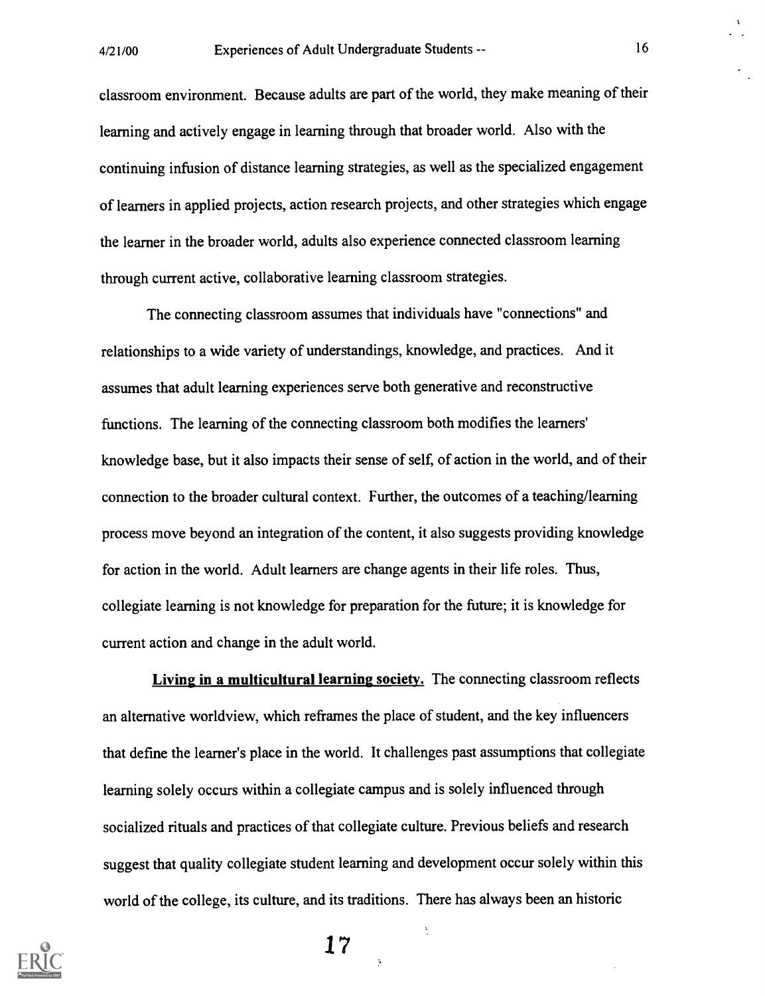classroom environment. Because adults are part of the world, they make meaning of their learning and actively engage in learning through that broader world. Also with the continuing infusion of distance learning strategies, as well as the specialized engagement of learners in applied projects, action research projects, and other strategies which engage the learner in the broader world, adults also experience connected classroom learning through current active, collaborative learning classroom strategies.

The connecting classroom assumes that individuals have "connections" and relationships to a wide variety of understandings, knowledge, and practices. And it assumes that adult learning experiences serve both generative and reconstructive functions. The learning of the connecting classroom both modifies the learners' knowledge base, but it also impacts their sense of self, of action in the world, and of their connection to the broader cultural context. Further, the outcomes of a teaching/learning process move beyond an integration of the content, it also suggests providing knowledge for action in the world. Adult learners are change agents in their life roles. Thus, collegiate learning is not knowledge for preparation for the future; it is knowledge for current action and change in the adult world.

Living in a multicultural learning society. The connecting classroom reflects an alternative worldview, which reframes the place of student, and the key influencers that define the learner's place in the world. It challenges past assumptions that collegiate learning solely occurs within a collegiate campus and is solely influenced through socialized rituals and practices of that collegiate culture. Previous beliefs and research suggest that quality collegiate student learning and development occur solely within this world of the college, its culture, and its traditions. There has always been an historic



17

 $\ddot{\bullet}$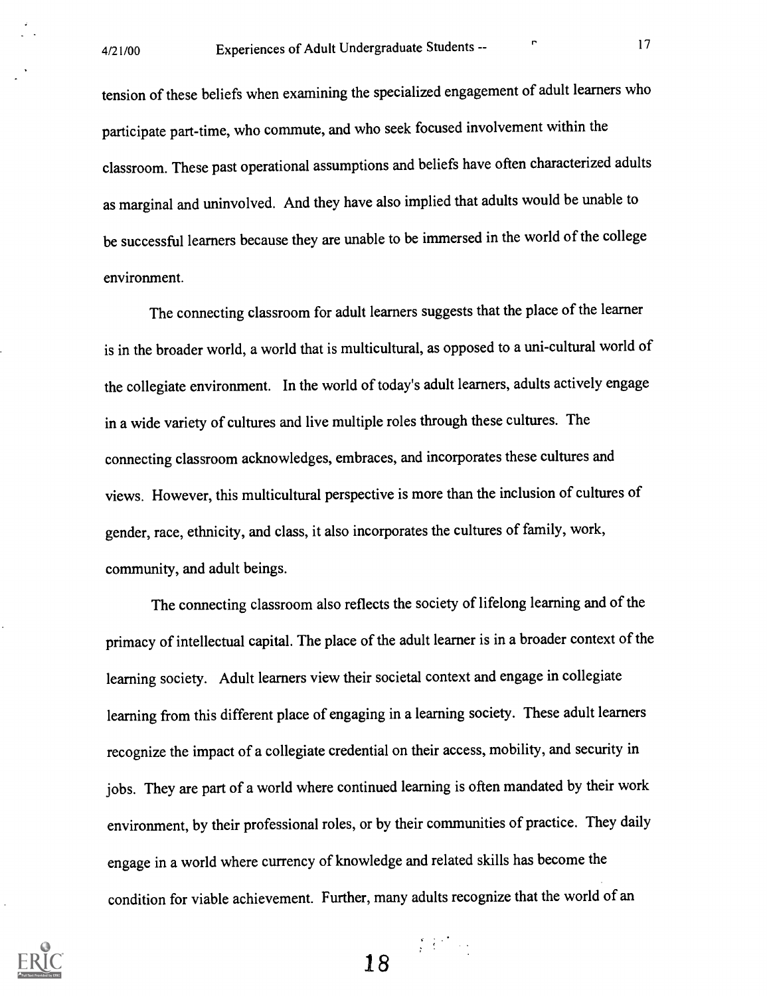tension of these beliefs when examining the specialized engagement of adult learners who participate part-time, who commute, and who seek focused involvement within the classroom. These past operational assumptions and beliefs have often characterized adults as marginal and uninvolved. And they have also implied that adults would be unable to be successful learners because they are unable to be immersed in the world of the college environment.

The connecting classroom for adult learners suggests that the place of the learner is in the broader world, a world that is multicultural, as opposed to a uni-cultural world of the collegiate environment. In the world of today's adult learners, adults actively engage in a wide variety of cultures and live multiple roles through these cultures. The connecting classroom acknowledges, embraces, and incorporates these cultures and views. However, this multicultural perspective is more than the inclusion of cultures of gender, race, ethnicity, and class, it also incorporates the cultures of family, work, community, and adult beings.

The connecting classroom also reflects the society of lifelong learning and of the primacy of intellectual capital. The place of the adult learner is in a broader context of the learning society. Adult learners view their societal context and engage in collegiate learning from this different place of engaging in a learning society. These adult learners recognize the impact of a collegiate credential on their access, mobility, and security in jobs. They are part of a world where continued learning is often mandated by their work environment, by their professional roles, or by their communities of practice. They daily engage in a world where currency of knowledge and related skills has become the condition for viable achievement. Further, many adults recognize that the world of an



18

 $\label{eq:2} \frac{1}{\sqrt{2}}\sum_{i=1}^N\frac{1}{2}\sum_{i=1}^N\frac{1}{2}\sum_{i=1}^N\frac{1}{2}\sum_{i=1}^N\frac{1}{2}\sum_{i=1}^N\frac{1}{2}\sum_{i=1}^N\frac{1}{2}\sum_{i=1}^N\frac{1}{2}\sum_{i=1}^N\frac{1}{2}\sum_{i=1}^N\frac{1}{2}\sum_{i=1}^N\frac{1}{2}\sum_{i=1}^N\frac{1}{2}\sum_{i=1}^N\frac{1}{2}\sum_{i=1}^N\frac{1}{2}\sum_{i=1}^$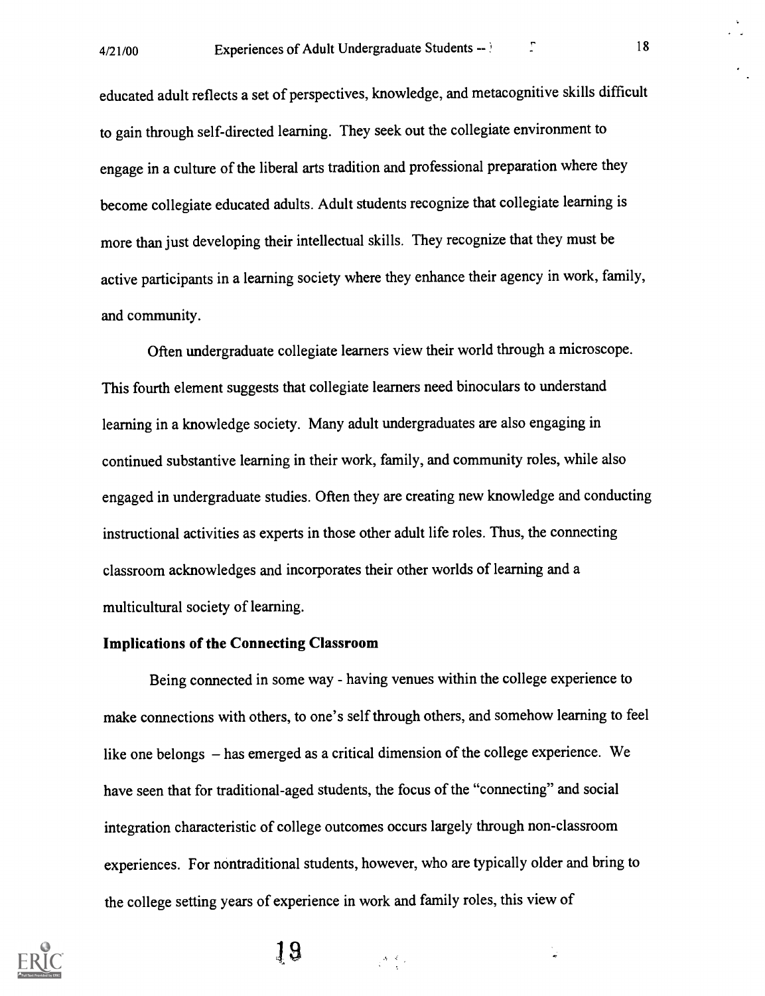educated adult reflects a set of perspectives, knowledge, and metacognitive skills difficult to gain through self-directed learning. They seek out the collegiate environment to engage in a culture of the liberal arts tradition and professional preparation where they become collegiate educated adults. Adult students recognize that collegiate learning is more than just developing their intellectual skills. They recognize that they must be active participants in a learning society where they enhance their agency in work, family, and community.

Often undergraduate collegiate learners view their world through a microscope. This fourth element suggests that collegiate learners need binoculars to understand learning in a knowledge society. Many adult undergraduates are also engaging in continued substantive learning in their work, family, and community roles, while also engaged in undergraduate studies. Often they are creating new knowledge and conducting instructional activities as experts in those other adult life roles. Thus, the connecting classroom acknowledges and incorporates their other worlds of learning and a multicultural society of learning.

#### Implications of the Connecting Classroom

Being connected in some way - having venues within the college experience to make connections with others, to one's self through others, and somehow learning to feel like one belongs  $-$  has emerged as a critical dimension of the college experience. We have seen that for traditional-aged students, the focus of the "connecting" and social integration characteristic of college outcomes occurs largely through non-classroom experiences. For nontraditional students, however, who are typically older and bring to the college setting years of experience in work and family roles, this view of

 $\frac{1}{2} \mathcal{A} \left( \frac{d}{2} \right)$  ,

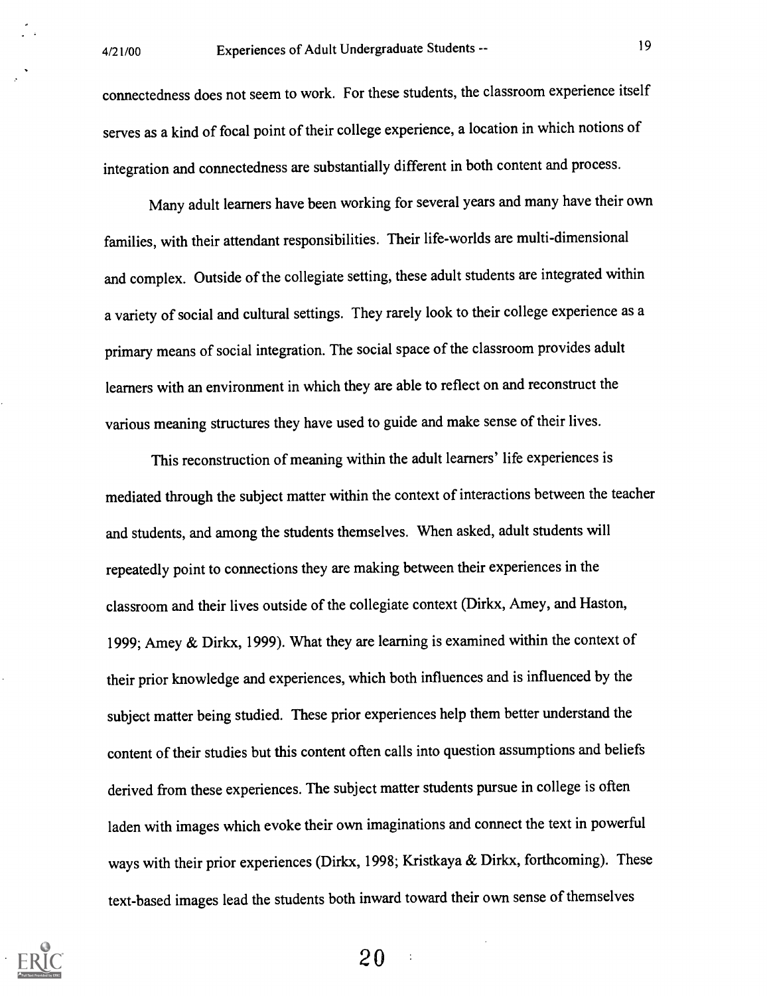connectedness does not seem to work. For these students, the classroom experience itself serves as a kind of focal point of their college experience, a location in which notions of integration and connectedness are substantially different in both content and process.

Many adult learners have been working for several years and many have their own families, with their attendant responsibilities. Their life-worlds are multi-dimensional and complex. Outside of the collegiate setting, these adult students are integrated within a variety of social and cultural settings. They rarely look to their college experience as a primary means of social integration. The social space of the classroom provides adult learners with an environment in which they are able to reflect on and reconstruct the various meaning structures they have used to guide and make sense of their lives.

This reconstruction of meaning within the adult learners' life experiences is mediated through the subject matter within the context of interactions between the teacher and students, and among the students themselves. When asked, adult students will repeatedly point to connections they are making between their experiences in the classroom and their lives outside of the collegiate context (Dirkx, Amey, and Haston, 1999; Amey & Dirkx, 1999). What they are learning is examined within the context of their prior knowledge and experiences, which both influences and is influenced by the subject matter being studied. These prior experiences help them better understand the content of their studies but this content often calls into question assumptions and beliefs derived from these experiences. The subject matter students pursue in college is often laden with images which evoke their own imaginations and connect the text in powerful ways with their prior experiences (Dirkx, 1998; Kristkaya & Dirkx, forthcoming). These text-based images lead the students both inward toward their own sense of themselves

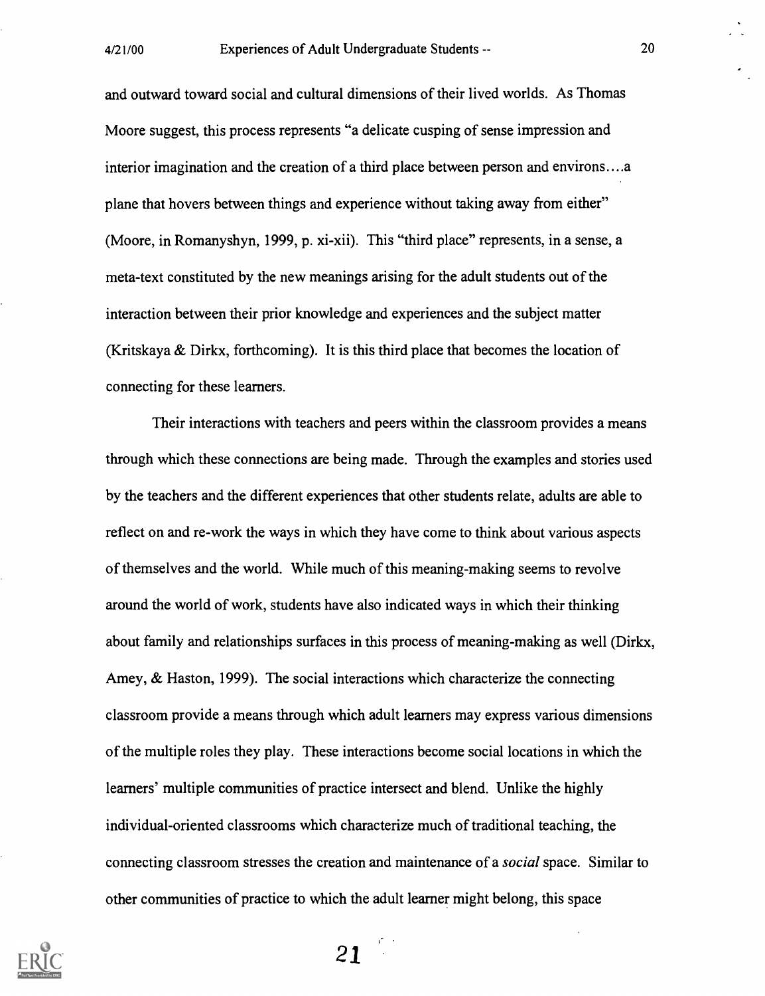and outward toward social and cultural dimensions of their lived worlds. As Thomas Moore suggest, this process represents "a delicate cusping of sense impression and interior imagination and the creation of a third place between person and environs....a plane that hovers between things and experience without taking away from either" (Moore, in Romanyshyn, 1999, p. xi-xii). This "third place" represents, in a sense, a meta-text constituted by the new meanings arising for the adult students out of the interaction between their prior knowledge and experiences and the subject matter (Kritskaya & Dirkx, forthcoming). It is this third place that becomes the location of connecting for these learners.

Their interactions with teachers and peers within the classroom provides a means through which these connections are being made. Through the examples and stories used by the teachers and the different experiences that other students relate, adults are able to reflect on and re-work the ways in which they have come to think about various aspects of themselves and the world. While much of this meaning-making seems to revolve around the world of work, students have also indicated ways in which their thinking about family and relationships surfaces in this process of meaning-making as well (Dirkx, Amey, & Haston, 1999). The social interactions which characterize the connecting classroom provide a means through which adult learners may express various dimensions of the multiple roles they play. These interactions become social locations in which the learners' multiple communities of practice intersect and blend. Unlike the highly individual-oriented classrooms which characterize much of traditional teaching, the connecting classroom stresses the creation and maintenance of a social space. Similar to other communities of practice to which the adult learner might belong, this space

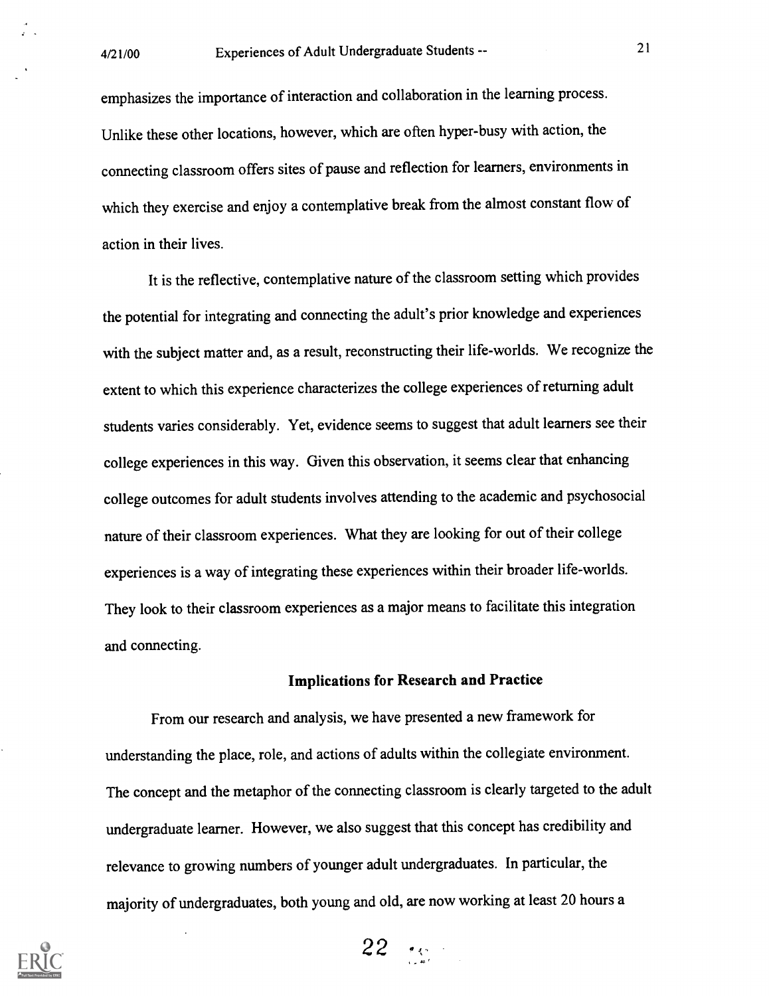emphasizes the importance of interaction and collaboration in the learning process. Unlike these other locations, however, which are often hyper-busy with action, the connecting classroom offers sites of pause and reflection for learners, environments in which they exercise and enjoy a contemplative break from the almost constant flow of action in their lives.

It is the reflective, contemplative nature of the classroom setting which provides the potential for integrating and connecting the adult's prior knowledge and experiences with the subject matter and, as a result, reconstructing their life-worlds. We recognize the extent to which this experience characterizes the college experiences of returning adult students varies considerably. Yet, evidence seems to suggest that adult learners see their college experiences in this way. Given this observation, it seems clear that enhancing college outcomes for adult students involves attending to the academic and psychosocial nature of their classroom experiences. What they are looking for out of their college experiences is a way of integrating these experiences within their broader life-worlds. They look to their classroom experiences as a major means to facilitate this integration and connecting.

### Implications for Research and Practice

From our research and analysis, we have presented a new framework for understanding the place, role, and actions of adults within the collegiate environment. The concept and the metaphor of the connecting classroom is clearly targeted to the adult undergraduate learner. However, we also suggest that this concept has credibility and relevance to growing numbers of younger adult undergraduates. In particular, the majority of undergraduates, both young and old, are now working at least 20 hours a



 $22 - 28$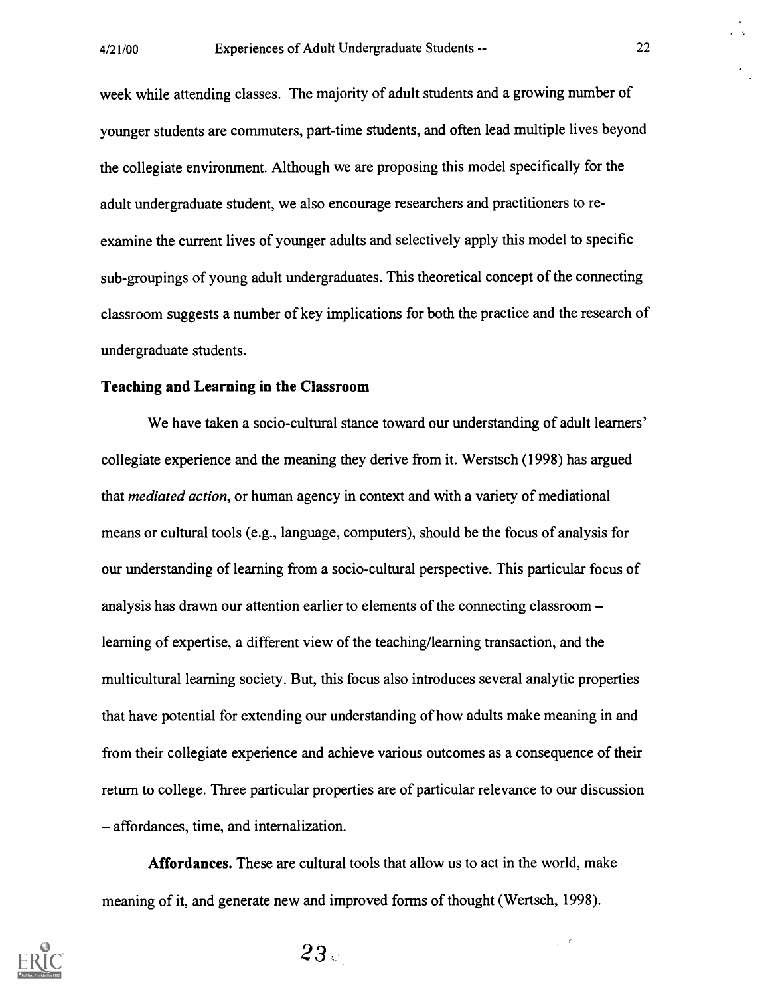week while attending classes. The majority of adult students and a growing number of younger students are commuters, part-time students, and often lead multiple lives beyond the collegiate environment. Although we are proposing this model specifically for the adult undergraduate student, we also encourage researchers and practitioners to reexamine the current lives of younger adults and selectively apply this model to specific sub-groupings of young adult undergraduates. This theoretical concept of the connecting classroom suggests a number of key implications for both the practice and the research of undergraduate students.

#### Teaching and Learning in the Classroom

We have taken a socio-cultural stance toward our understanding of adult learners' collegiate experience and the meaning they derive from it. Werstsch (1998) has argued that mediated action, or human agency in context and with a variety of mediational means or cultural tools (e.g., language, computers), should be the focus of analysis for our understanding of learning from a socio-cultural perspective. This particular focus of analysis has drawn our attention earlier to elements of the connecting classroom learning of expertise, a different view of the teaching/learning transaction, and the multicultural learning society. But, this focus also introduces several analytic properties that have potential for extending our understanding of how adults make meaning in and from their collegiate experience and achieve various outcomes as a consequence of their return to college. Three particular properties are of particular relevance to our discussion affordances, time, and internalization.

Affordances. These are cultural tools that allow us to act in the world, make meaning of it, and generate new and improved forms of thought (Wertsch, 1998).

> $\overline{t}$  $\mathcal{L}^{\mathcal{L}}$



 $23<sub>1</sub>$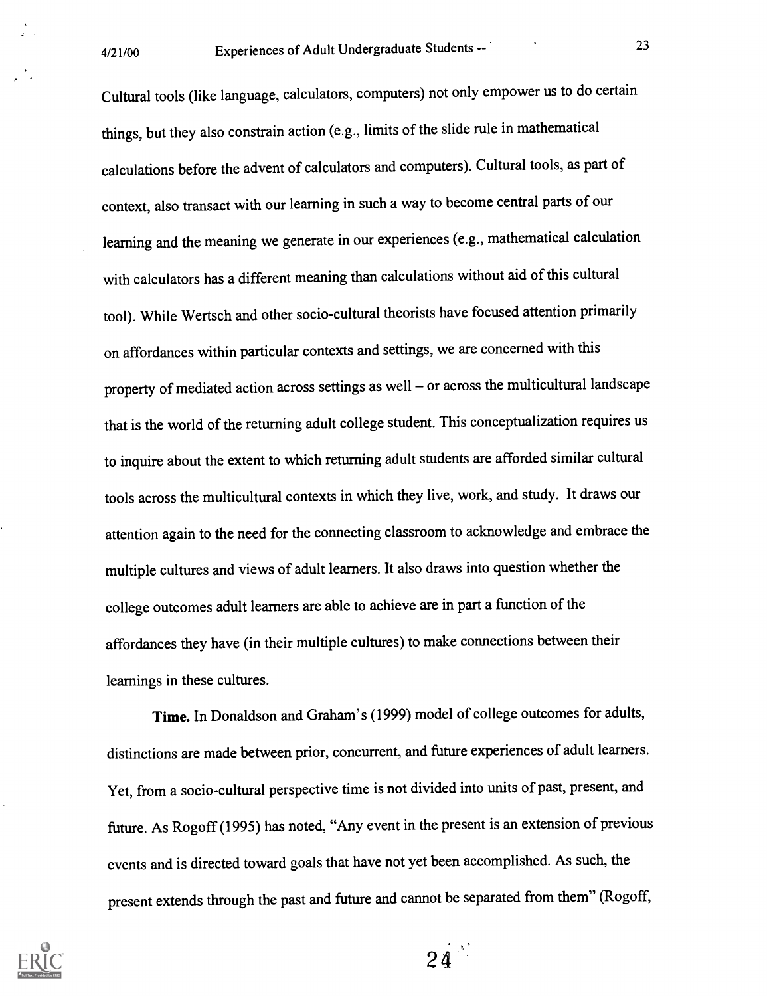Cultural tools (like language, calculators, computers) not only empower us to do certain things, but they also constrain action (e.g., limits of the slide rule in mathematical calculations before the advent of calculators and computers). Cultural tools, as part of context, also transact with our learning in such a way to become central parts of our learning and the meaning we generate in our experiences (e.g., mathematical calculation with calculators has a different meaning than calculations without aid of this cultural tool). While Wertsch and other socio-cultural theorists have focused attention primarily on affordances within particular contexts and settings, we are concerned with this property of mediated action across settings as well - or across the multicultural landscape that is the world of the returning adult college student. This conceptualization requires us to inquire about the extent to which returning adult students are afforded similar cultural tools across the multicultural contexts in which they live, work, and study. It draws our attention again to the need for the connecting classroom to acknowledge and embrace the multiple cultures and views of adult learners. It also draws into question whether the college outcomes adult learners are able to achieve are in part a function of the affordances they have (in their multiple cultures) to make connections between their learnings in these cultures.

Time. In Donaldson and Graham's (1999) model of college outcomes for adults, distinctions are made between prior, concurrent, and future experiences of adult learners. Yet, from a socio-cultural perspective time is not divided into units of past, present, and future. As Rogoff (1995) has noted, "Any event in the present is an extension of previous events and is directed toward goals that have not yet been accomplished. As such, the present extends through the past and future and cannot be separated from them" (Rogoff,



 $24$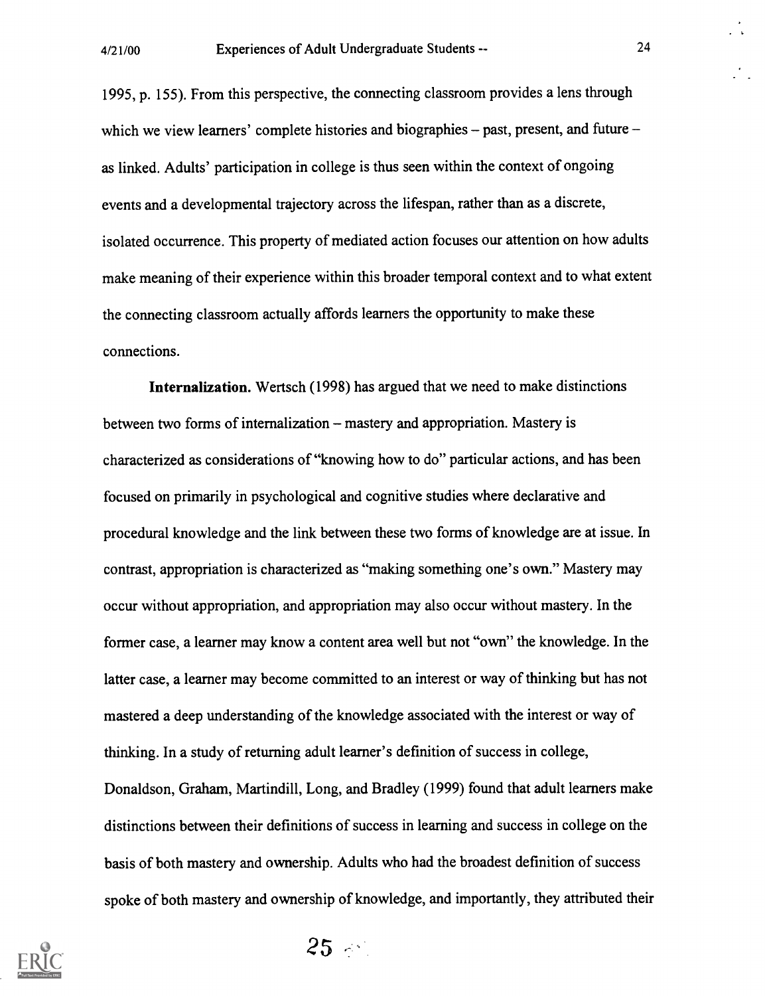1995, p. 155). From this perspective, the connecting classroom provides a lens through which we view learners' complete histories and biographies  $-$  past, present, and future  $$ as linked. Adults' participation in college is thus seen within the context of ongoing events and a developmental trajectory across the lifespan, rather than as a discrete, isolated occurrence. This property of mediated action focuses our attention on how adults make meaning of their experience within this broader temporal context and to what extent the connecting classroom actually affords learners the opportunity to make these connections.

Internalization. Wertsch (1998) has argued that we need to make distinctions between two forms of internalization – mastery and appropriation. Mastery is characterized as considerations of "knowing how to do" particular actions, and has been focused on primarily in psychological and cognitive studies where declarative and procedural knowledge and the link between these two forms of knowledge are at issue. In contrast, appropriation is characterized as "making something one's own." Mastery may occur without appropriation, and appropriation may also occur without mastery. In the former case, a learner may know a content area well but not "own" the knowledge. In the latter case, a learner may become committed to an interest or way of thinking but has not mastered a deep understanding of the knowledge associated with the interest or way of thinking. In a study of returning adult learner's definition of success in college, Donaldson, Graham, Martindill, Long, and Bradley (1999) found that adult learners make distinctions between their definitions of success in learning and success in college on the basis of both mastery and ownership. Adults who had the broadest definition of success spoke of both mastery and ownership of knowledge, and importantly, they attributed their



 $25 - 1$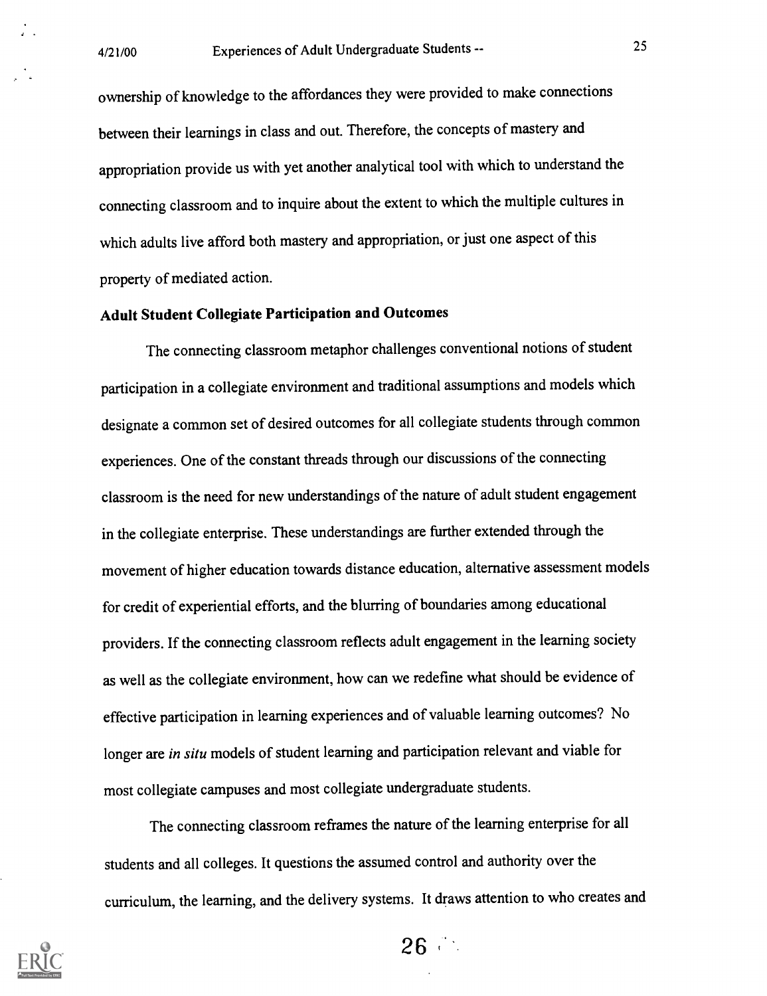ownership of knowledge to the affordances they were provided to make connections between their learnings in class and out. Therefore, the concepts of mastery and appropriation provide us with yet another analytical tool with which to understand the connecting classroom and to inquire about the extent to which the multiple cultures in which adults live afford both mastery and appropriation, or just one aspect of this property of mediated action.

## Adult Student Collegiate Participation and Outcomes

The connecting classroom metaphor challenges conventional notions of student participation in a collegiate environment and traditional assumptions and models which designate a common set of desired outcomes for all collegiate students through common experiences. One of the constant threads through our discussions of the connecting classroom is the need for new understandings of the nature of adult student engagement in the collegiate enterprise. These understandings are further extended through the movement of higher education towards distance education, alternative assessment models for credit of experiential efforts, and the blurring of boundaries among educational providers. If the connecting classroom reflects adult engagement in the learning society as well as the collegiate environment, how can we redefine what should be evidence of effective participation in learning experiences and of valuable learning outcomes? No longer are in situ models of student learning and participation relevant and viable for most collegiate campuses and most collegiate undergraduate students.

The connecting classroom reframes the nature of the learning enterprise for all students and all colleges. It questions the assumed control and authority over the curriculum, the learning, and the delivery systems. It draws attention to who creates and



 $26 -$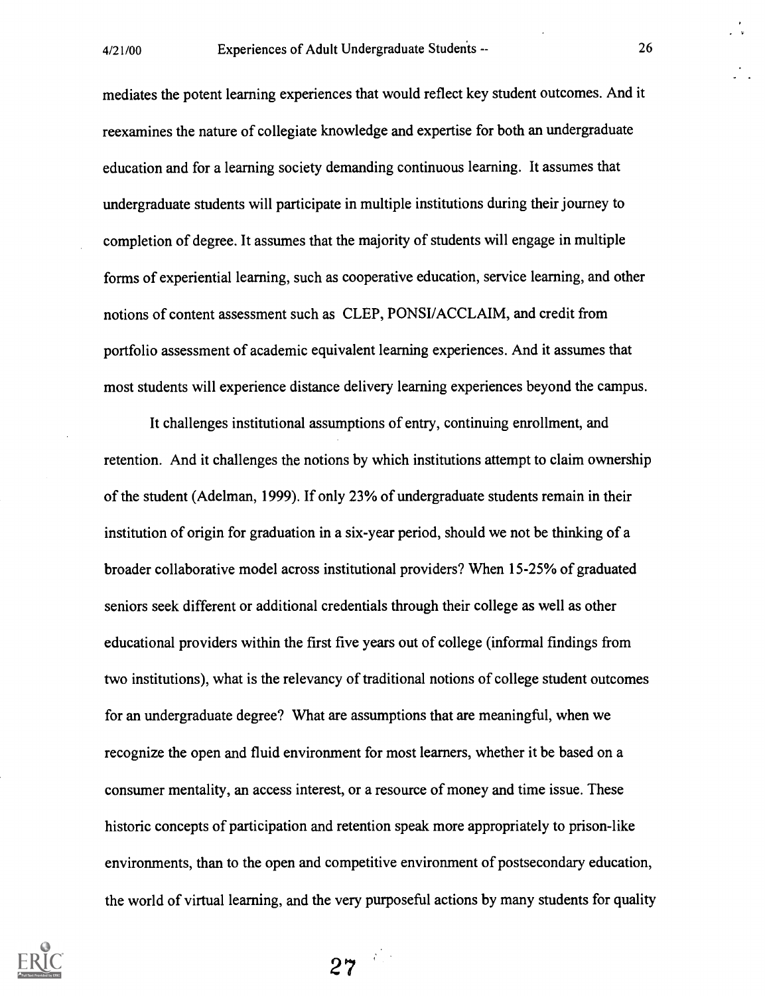mediates the potent learning experiences that would reflect key student outcomes. And it reexamines the nature of collegiate knowledge and expertise for both an undergraduate education and for a learning society demanding continuous learning. It assumes that undergraduate students will participate in multiple institutions during their journey to completion of degree. It assumes that the majority of students will engage in multiple forms of experiential learning, such as cooperative education, service learning, and other notions of content assessment such as CLEP, PONSI/ACCLAIM, and credit from portfolio assessment of academic equivalent learning experiences. And it assumes that most students will experience distance delivery learning experiences beyond the campus.

It challenges institutional assumptions of entry, continuing enrollment, and retention. And it challenges the notions by which institutions attempt to claim ownership of the student (Adelman, 1999). If only 23% of undergraduate students remain in their institution of origin for graduation in a six-year period, should we not be thinking of a broader collaborative model across institutional providers? When 15-25% of graduated seniors seek different or additional credentials through their college as well as other educational providers within the first five years out of college (informal findings from two institutions), what is the relevancy of traditional notions of college student outcomes for an undergraduate degree? What are assumptions that are meaningful, when we recognize the open and fluid environment for most learners, whether it be based on a consumer mentality, an access interest, or a resource of money and time issue. These historic concepts of participation and retention speak more appropriately to prison-like environments, than to the open and competitive environment of postsecondary education, the world of virtual learning, and the very purposeful actions by many students for quality

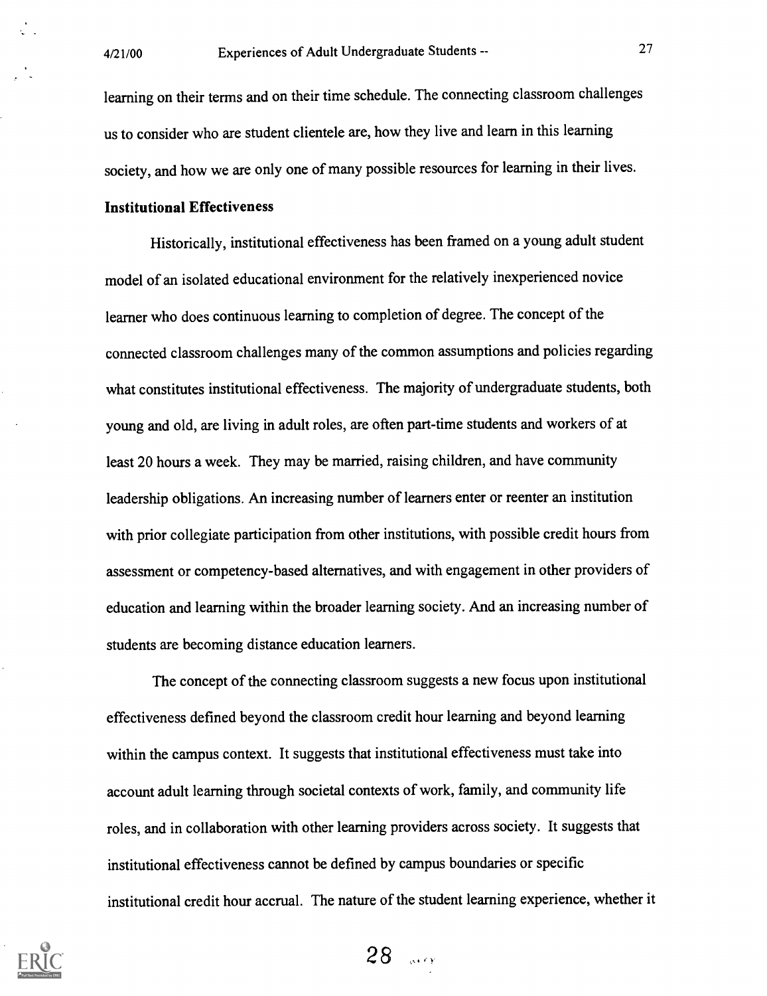learning on their terms and on their time schedule. The connecting classroom challenges us to consider who are student clientele are, how they live and learn in this learning society, and how we are only one of many possible resources for learning in their lives.

#### Institutional Effectiveness

Historically, institutional effectiveness has been framed on a young adult student model of an isolated educational environment for the relatively inexperienced novice learner who does continuous learning to completion of degree. The concept of the connected classroom challenges many of the common assumptions and policies regarding what constitutes institutional effectiveness. The majority of undergraduate students, both young and old, are living in adult roles, are often part-time students and workers of at least 20 hours a week. They may be married, raising children, and have community leadership obligations. An increasing number of learners enter or reenter an institution with prior collegiate participation from other institutions, with possible credit hours from assessment or competency-based alternatives, and with engagement in other providers of education and learning within the broader learning society. And an increasing number of students are becoming distance education learners.

The concept of the connecting classroom suggests a new focus upon institutional effectiveness defined beyond the classroom credit hour learning and beyond learning within the campus context. It suggests that institutional effectiveness must take into account adult learning through societal contexts of work, family, and community life roles, and in collaboration with other learning providers across society. It suggests that institutional effectiveness cannot be defined by campus boundaries or specific institutional credit hour accrual. The nature of the student learning experience, whether it

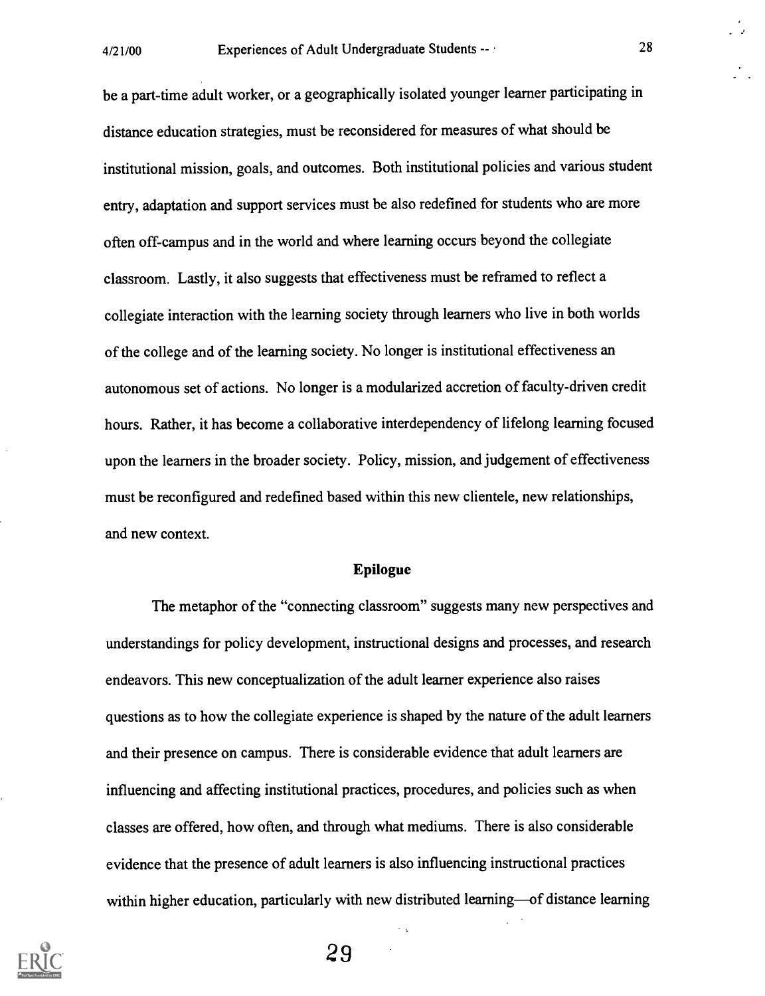be a part-time adult worker, or a geographically isolated younger learner participating in distance education strategies, must be reconsidered for measures of what should be institutional mission, goals, and outcomes. Both institutional policies and various student entry, adaptation and support services must be also redefined for students who are more often off-campus and in the world and where learning occurs beyond the collegiate classroom. Lastly, it also suggests that effectiveness must be reframed to reflect a collegiate interaction with the learning society through learners who live in both worlds of the college and of the learning society. No longer is institutional effectiveness an autonomous set of actions. No longer is a modularized accretion of faculty-driven credit hours. Rather, it has become a collaborative interdependency of lifelong learning focused upon the learners in the broader society. Policy, mission, and judgement of effectiveness must be reconfigured and redefined based within this new clientele, new relationships, and new context.

#### Epilogue

The metaphor of the "connecting classroom" suggests many new perspectives and understandings for policy development, instructional designs and processes, and research endeavors. This new conceptualization of the adult learner experience also raises questions as to how the collegiate experience is shaped by the nature of the adult learners and their presence on campus. There is considerable evidence that adult learners are influencing and affecting institutional practices, procedures, and policies such as when classes are offered, how often, and through what mediums. There is also considerable evidence that the presence of adult learners is also influencing instructional practices within higher education, particularly with new distributed learning—of distance learning

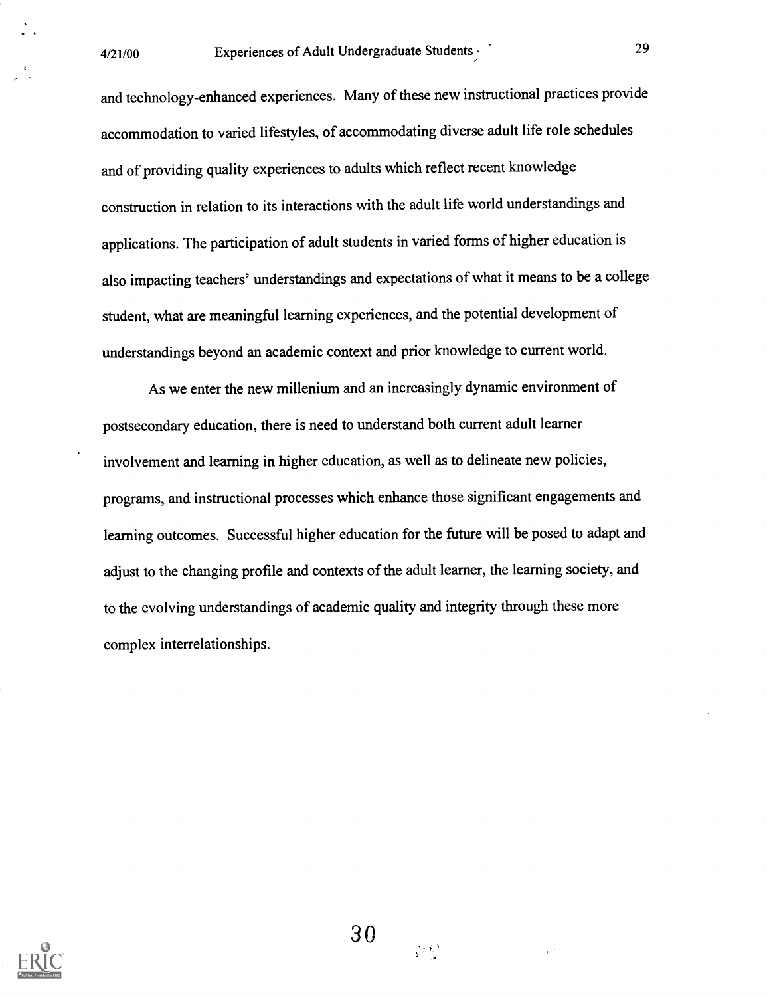and technology-enhanced experiences. Many of these new instructional practices provide accommodation to varied lifestyles, of accommodating diverse adult life role schedules and of providing quality experiences to adults which reflect recent knowledge construction in relation to its interactions with the adult life world understandings and applications. The participation of adult students in varied forms of higher education is also impacting teachers' understandings and expectations of what it means to be a college student, what are meaningful learning experiences, and the potential development of understandings beyond an academic context and prior knowledge to current world.

As we enter the new millenium and an increasingly dynamic environment of postsecondary education, there is need to understand both current adult learner involvement and learning in higher education, as well as to delineate new policies, programs, and instructional processes which enhance those significant engagements and learning outcomes. Successful higher education for the future will be posed to adapt and adjust to the changing profile and contexts of the adult learner, the learning society, and to the evolving understandings of academic quality and integrity through these more complex interrelationships.



 $\mathcal{L}^{\text{max}}$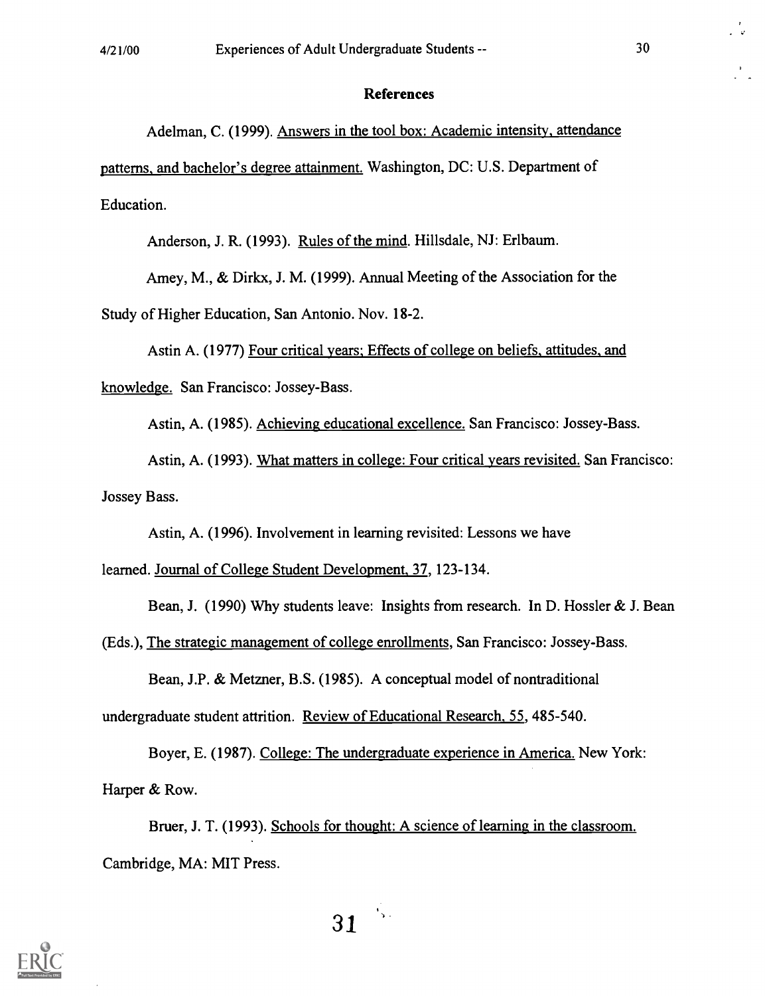#### References

Adelman, C. (1999). Answers in the tool box: Academic intensity, attendance patterns, and bachelor's degree attainment. Washington, DC: U.S. Department of Education.

Anderson, J. R. (1993). Rules of the mind. Hillsdale, NJ: Erlbaum.

Amey, M., & Dirkx, J. M. (1999). Annual Meeting of the Association for the

Study of Higher Education, San Antonio. Nov. 18-2.

Astin A. (1977) Four critical years: Effects of college on beliefs, attitudes, and knowledge. San Francisco: Jossey-Bass.

Astin, A. (1985). Achieving educational excellence. San Francisco: Jossey-Bass.

Astin, A. (1993). What matters in college: Four critical years revisited. San Francisco: Jossey Bass.

Astin, A. (1996). Involvement in learning revisited: Lessons we have

learned. Journal of College Student Development, 37, 123-134.

Bean, J. (1990) Why students leave: Insights from research. In D. Hossler & J. Bean

(Eds.), The strategic management of college enrollments, San Francisco: Jossey-Bass.

Bean, J.P. & Metzner, B.S. (1985). A conceptual model of nontraditional

undergraduate student attrition. Review of Educational Research, 55, 485-540.

Boyer, E. (1987). College: The undergraduate experience in America. New York: Harper & Row.

Bruer, J. T. (1993). Schools for thought: A science of learning in the classroom. Cambridge, MA: MIT Press.

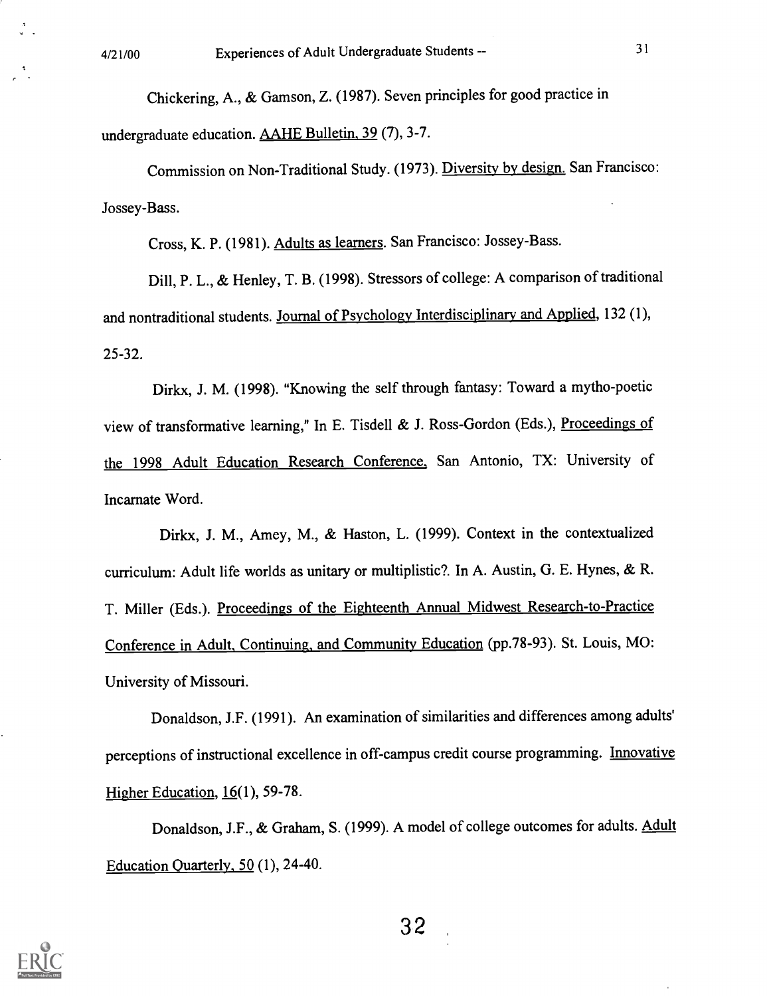Chickering, A., & Gamson, Z. (1987). Seven principles for good practice in undergraduate education. AAHE Bulletin, 39 (7), 3-7.

Commission on Non-Traditional Study. (1973). Diversity by design. San Francisco: Jossey-Bass.

Cross, K. P. (1981). Adults as learners. San Francisco: Jossey-Bass.

Dill, P. L., & Henley, T. B. (1998). Stressors of college: A comparison of traditional and nontraditional students. Journal of Psychology Interdisciplinary and Applied, 132 (1), 25-32.

Dirkx, J. M. (1998). "Knowing the self through fantasy: Toward a mytho-poetic view of transformative learning," In E. Tisdell & J. Ross-Gordon (Eds.), Proceedings of the 1998 Adult Education Research Conference, San Antonio, TX: University of Incarnate Word.

Dirkx, J. M., Amey, M., & Haston, L. (1999). Context in the contextualized curriculum: Adult life worlds as unitary or multiplistic?. In A. Austin, G. E. Hynes, & R. T. Miller (Eds.). Proceedings of the Eighteenth Annual Midwest Research-to-Practice Conference in Adult, Continuing, and Community Education (pp.78-93). St. Louis, MO: University of Missouri.

Donaldson, J.F. (1991). An examination of similarities and differences among adults' perceptions of instructional excellence in off-campus credit course programming. Innovative Higher Education,  $16(1)$ , 59-78.

Donaldson, J.F., & Graham, S. (1999). A model of college outcomes for adults. Adult Education Quarterly, 50 (1), 24-40.

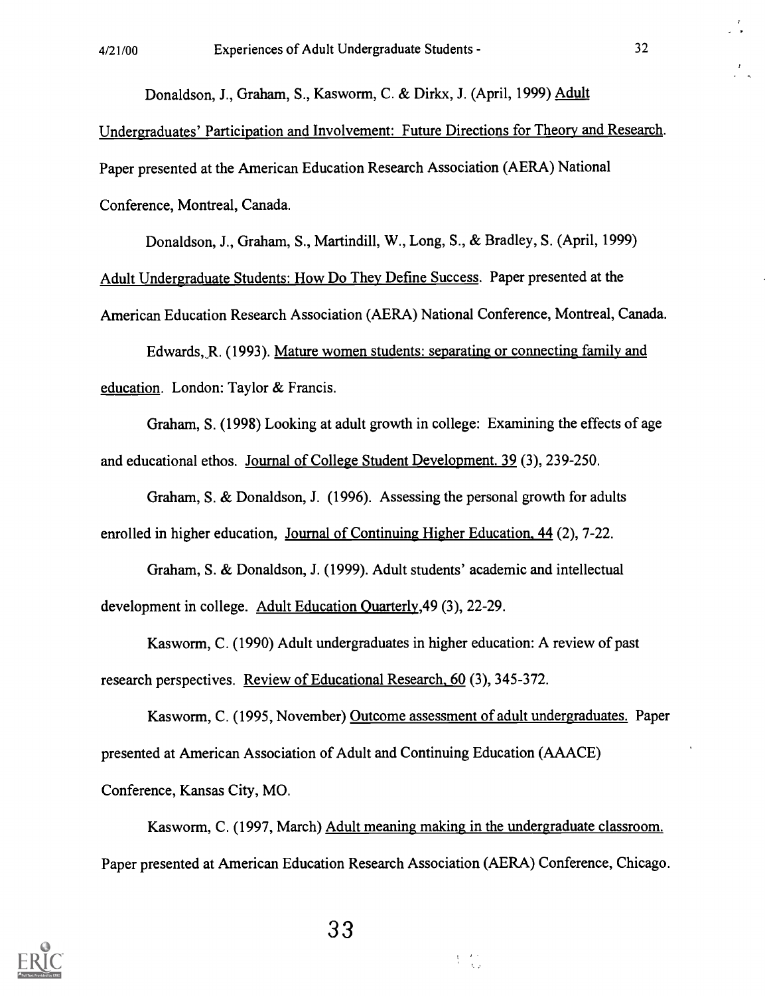Donaldson, J., Graham, S., Kasworm, C. & Dirkx, J. (April, 1999) Adult

Undergraduates' Participation and Involvement: Future Directions for Theory and Research. Paper presented at the American Education Research Association (AERA) National Conference, Montreal, Canada.

Donaldson, J., Graham, S., Martindill, W., Long, S., & Bradley, S. (April, 1999)

Adult Undergraduate Students: How Do They Define Success. Paper presented at the

American Education Research Association (AERA) National Conference, Montreal, Canada.

Edwards, R. (1993). Mature women students: separating or connecting family and education. London: Taylor & Francis.

Graham, S. (1998) Looking at adult growth in college: Examining the effects of age and educational ethos. Journal of College Student Development. 39 (3), 239-250.

Graham, S. & Donaldson, J. (1996). Assessing the personal growth for adults enrolled in higher education, Journal of Continuing Higher Education, 44 (2), 7-22.

Graham, S. & Donaldson, J. (1999). Adult students' academic and intellectual development in college. Adult Education Ouarterly,49 (3), 22-29.

Kasworm, C. (1990) Adult undergraduates in higher education: A review of past research perspectives. Review of Educational Research, 60 (3), 345-372.

Kasworm, C. (1995, November) Outcome assessment of adult undergraduates. Paper presented at American Association of Adult and Continuing Education (AAACE)

Conference, Kansas City, MO.

Kasworm, C. (1997, March) Adult meaning making in the undergraduate classroom. Paper presented at American Education Research Association (AERA) Conference, Chicago.

 $\frac{1}{2} = \frac{1}{3} \frac{1}{2}$ 

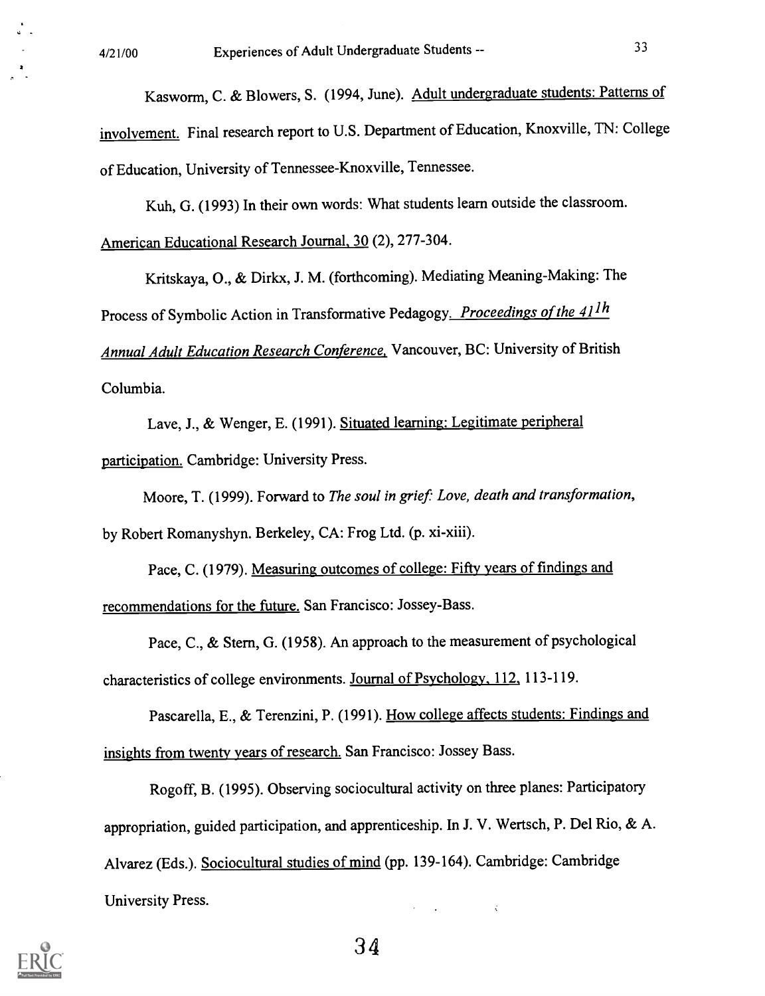Kasworm, C. & Blowers, S. (1994, June). Adult undergraduate students: Patterns of involvement. Final research report to U.S. Department of Education, Knoxville, TN: College of Education, University of Tennessee-Knoxville, Tennessee.

Kuh, G. (1993) In their own words: What students learn outside the classroom. American Educational Research Journal, 30 (2), 277-304.

Kritskaya, 0., & Dirkx, J. M. (forthcoming). Mediating Meaning-Making: The Process of Symbolic Action in Transformative Pedagogy. Proceedings of the 41<sup>1h</sup> Annual Adult Education Research Conference, Vancouver, BC: University of British Columbia.

Lave, J., & Wenger, E. (1991). Situated learning: Legitimate peripheral participation. Cambridge: University Press.

Moore, T. (1999). Forward to The soul in grief: Love, death and transformation,

by Robert Romanyshyn. Berkeley, CA: Frog Ltd. (p. xi-xiii).

Pace, C. (1979). Measuring outcomes of college: Fifty years of findings and recommendations for the future. San Francisco: Jossey-Bass.

Pace, C., & Stern, G. (1958). An approach to the measurement of psychological characteristics of college environments. Journal of Psychology, 112, 113-119.

Pascarella, E., & Terenzini, P. (1991). How college affects students: Findings and insights from twenty years of research. San Francisco: Jossey Bass.

Rogoff, B. (1995). Observing sociocultural activity on three planes: Participatory appropriation, guided participation, and apprenticeship. In J. V. Wertsch, P. Del Rio, & A. Alvarez (Eds.). Sociocultural studies of mind (pp. 139-164). Cambridge: Cambridge University Press.  $\hat{\mathbf{v}}$ 

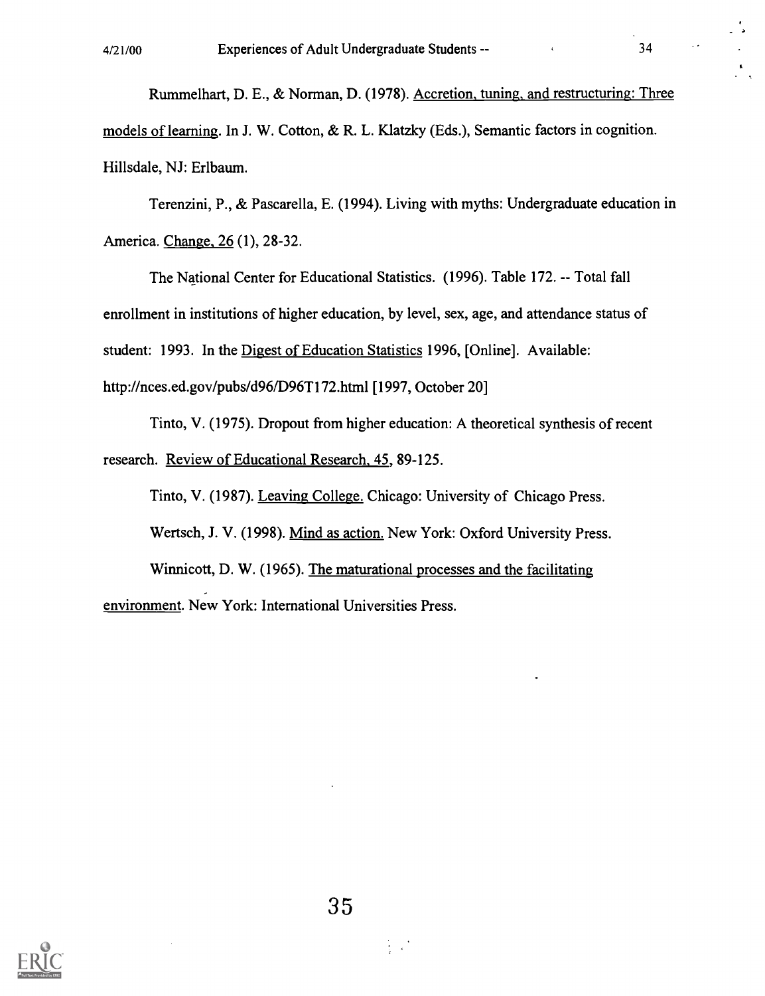Rummelhart, D. E., & Norman, D. (1978). Accretion, tuning, and restructuring: Three models of learning. In J. W. Cotton, & R. L. Klatzky (Eds.), Semantic factors in cognition. Hillsdale, NJ: Erlbaum.

Terenzini, P., & Pascarella, E. (1994). Living with myths: Undergraduate education in America. Change, 26 (1), 28-32.

The National Center for Educational Statistics. (1996). Table 172. -- Total fall enrollment in institutions of higher education, by level, sex, age, and attendance status of student: 1993. In the Digest of Education Statistics 1996, [Online]. Available: http://nces.ed.gov/pubs/d96/D96T172.html [1997, October 20]

Tinto, V. (1975). Dropout from higher education: A theoretical synthesis of recent research. Review of Educational Research, 45, 89-125.

Tinto, V. (1987). Leaving College. Chicago: University of Chicago Press.

Wertsch, J. V. (1998). Mind as action. New York: Oxford University Press.

Winnicott, D. W. (1965). The maturational processes and the facilitating environment. New York: International Universities Press.

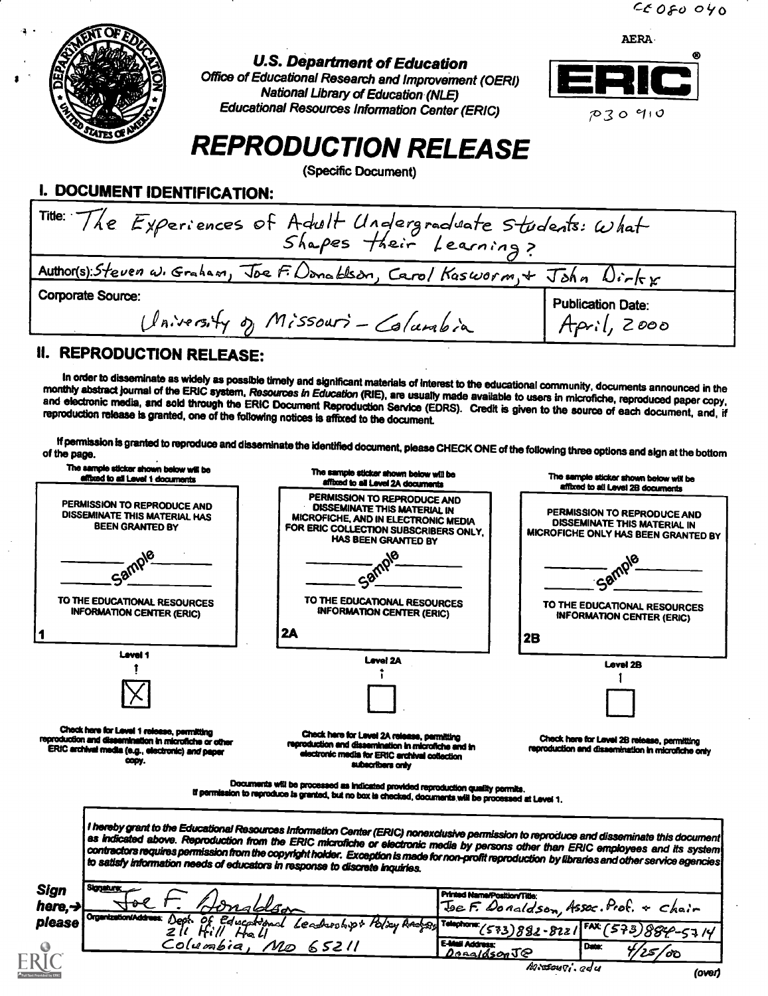

# U.S. Department of Education

Office of Educational Research and Improvement (OERI) National Library of Education (NLE) Educational Resources Information Center (ERIC)



# REPRODUCTION RELEASE

(Specific Document)

| I. DOCUMENT IDENTIFICATION: |  |
|-----------------------------|--|
|-----------------------------|--|

| Title: The Experiences of Adult Undergraduate Students: What<br>Shapes their Learning? |                                         |  |
|----------------------------------------------------------------------------------------|-----------------------------------------|--|
| Author(s): Steven w. Graham, Joe F. Donablson, Carol Kasworm, + John Dirkx             |                                         |  |
| <b>Corporate Source:</b><br>University of Missouri-Columbia                            | <b>Publication Date:</b><br>April, 2000 |  |

# II. REPRODUCTION RELEASE:

In order to disseminate as widely as possible timely and significant materials of interest to the educational community, documents announced in the<br>monthly abstract journal of the ERIC system, Resources in Education (RIE), network passwa paints of the ERIC system, resources in Education (RIE), are usually made available to users in microfiche, reproduced paper copy,<br>and electronic media, and sold through the ERIC Document Reproduction Servic

If permission is granted to reproduce and disseminate the identified document, please CHECK ONE of the following three options and sign at the bottom<br>of the page.